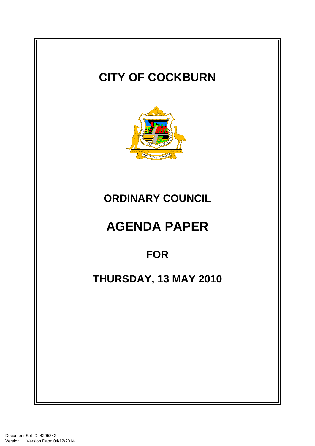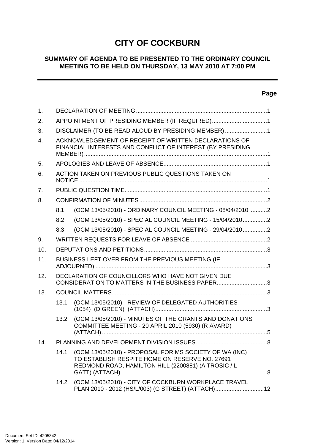# **CITY OF COCKBURN**

### **SUMMARY OF AGENDA TO BE PRESENTED TO THE ORDINARY COUNCIL MEETING TO BE HELD ON THURSDAY, 13 MAY 2010 AT 7:00 PM**

# **Page**

 $\overline{\phantom{a}}$ 

| 1.  |                                                     |                                                                                                                                                                 |   |  |  |
|-----|-----------------------------------------------------|-----------------------------------------------------------------------------------------------------------------------------------------------------------------|---|--|--|
| 2.  | APPOINTMENT OF PRESIDING MEMBER (IF REQUIRED)1      |                                                                                                                                                                 |   |  |  |
| 3.  | DISCLAIMER (TO BE READ ALOUD BY PRESIDING MEMBER) 1 |                                                                                                                                                                 |   |  |  |
| 4.  |                                                     | ACKNOWLEDGEMENT OF RECEIPT OF WRITTEN DECLARATIONS OF<br>FINANCIAL INTERESTS AND CONFLICT OF INTEREST (BY PRESIDING                                             |   |  |  |
| 5.  |                                                     |                                                                                                                                                                 |   |  |  |
| 6.  |                                                     | ACTION TAKEN ON PREVIOUS PUBLIC QUESTIONS TAKEN ON                                                                                                              |   |  |  |
| 7.  |                                                     |                                                                                                                                                                 |   |  |  |
| 8.  |                                                     |                                                                                                                                                                 |   |  |  |
|     | 8.1                                                 | (OCM 13/05/2010) - ORDINARY COUNCIL MEETING - 08/04/2010 2                                                                                                      |   |  |  |
|     | 8.2                                                 | (OCM 13/05/2010) - SPECIAL COUNCIL MEETING - 15/04/20102                                                                                                        |   |  |  |
|     | 8.3                                                 | (OCM 13/05/2010) - SPECIAL COUNCIL MEETING - 29/04/20102                                                                                                        |   |  |  |
| 9.  |                                                     |                                                                                                                                                                 |   |  |  |
| 10. |                                                     |                                                                                                                                                                 |   |  |  |
| 11. |                                                     | BUSINESS LEFT OVER FROM THE PREVIOUS MEETING (IF                                                                                                                |   |  |  |
| 12. |                                                     | DECLARATION OF COUNCILLORS WHO HAVE NOT GIVEN DUE<br>CONSIDERATION TO MATTERS IN THE BUSINESS PAPER3                                                            |   |  |  |
| 13. |                                                     |                                                                                                                                                                 |   |  |  |
|     | 13.1                                                | (OCM 13/05/2010) - REVIEW OF DELEGATED AUTHORITIES                                                                                                              |   |  |  |
|     | 13.2                                                | (OCM 13/05/2010) - MINUTES OF THE GRANTS AND DONATIONS<br>COMMITTEE MEETING - 20 APRIL 2010 (5930) (R AVARD)                                                    |   |  |  |
|     |                                                     | PLANNING AND DEVELOPMENT DIVISION ISSUES                                                                                                                        | 8 |  |  |
|     | 14.1                                                | (OCM 13/05/2010) - PROPOSAL FOR MS SOCIETY OF WA (INC)<br>TO ESTABLISH RESPITE HOME ON RESERVE NO. 27691<br>REDMOND ROAD, HAMILTON HILL (2200881) (A TROSIC / L |   |  |  |
|     |                                                     | 14.2 (OCM 13/05/2010) - CITY OF COCKBURN WORKPLACE TRAVEL<br>PLAN 2010 - 2012 (HS/L/003) (G STREET) (ATTACH)12                                                  |   |  |  |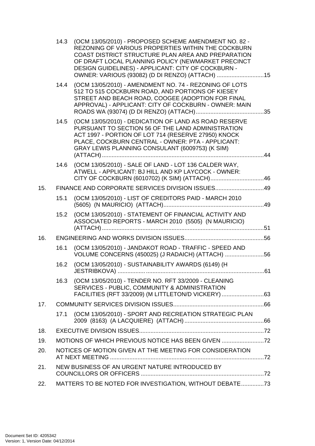|     | 14.3                                           | (OCM 13/05/2010) - PROPOSED SCHEME AMENDMENT NO. 82 -<br>REZONING OF VARIOUS PROPERTIES WITHIN THE COCKBURN<br>COAST DISTRICT STRUCTURE PLAN AREA AND PREPARATION<br>OF DRAFT LOCAL PLANNING POLICY (NEWMARKET PRECINCT<br>DESIGN GUIDELINES) - APPLICANT: CITY OF COCKBURN -<br>OWNER: VARIOUS (93082) (D DI RENZO) (ATTACH) 15 |  |  |  |
|-----|------------------------------------------------|----------------------------------------------------------------------------------------------------------------------------------------------------------------------------------------------------------------------------------------------------------------------------------------------------------------------------------|--|--|--|
|     | 14.4                                           | (OCM 13/05/2010) - AMENDMENT NO. 74 - REZONING OF LOTS<br>512 TO 515 COCKBURN ROAD, AND PORTIONS OF KIESEY<br>STREET AND BEACH ROAD, COOGEE (ADOPTION FOR FINAL<br>APPROVAL) - APPLICANT: CITY OF COCKBURN - OWNER: MAIN                                                                                                         |  |  |  |
|     | 14.5                                           | (OCM 13/05/2010) - DEDICATION OF LAND AS ROAD RESERVE<br>PURSUANT TO SECTION 56 OF THE LAND ADMINISTRATION<br>ACT 1997 - PORTION OF LOT 714 (RESERVE 27950) KNOCK<br>PLACE, COCKBURN CENTRAL - OWNER: PTA - APPLICANT:<br>GRAY LEWIS PLANNING CONSULANT (6009753) (K SIM)                                                        |  |  |  |
|     | 14.6                                           | (OCM 13/05/2010) - SALE OF LAND - LOT 136 CALDER WAY,<br>ATWELL - APPLICANT: BJ HILL AND KP LAYCOCK - OWNER:                                                                                                                                                                                                                     |  |  |  |
| 15. |                                                | FINANCE AND CORPORATE SERVICES DIVISION ISSUES49                                                                                                                                                                                                                                                                                 |  |  |  |
|     | 15.1                                           | (OCM 13/05/2010) - LIST OF CREDITORS PAID - MARCH 2010                                                                                                                                                                                                                                                                           |  |  |  |
|     | 15.2                                           | (OCM 13/05/2010) - STATEMENT OF FINANCIAL ACTIVITY AND<br>ASSOCIATED REPORTS - MARCH 2010 (5505) (N MAURICIO)                                                                                                                                                                                                                    |  |  |  |
| 16. |                                                |                                                                                                                                                                                                                                                                                                                                  |  |  |  |
|     | 16.1                                           | (OCM 13/05/2010) - JANDAKOT ROAD - TRAFFIC - SPEED AND<br>VOLUME CONCERNS (450025) (J RADAICH) (ATTACH) 56                                                                                                                                                                                                                       |  |  |  |
|     | 16.2                                           | (OCM 13/05/2010) - SUSTAINABILITY AWARDS (6149) (H                                                                                                                                                                                                                                                                               |  |  |  |
|     | 16.3                                           | (OCM 13/05/2010) - TENDER NO. RFT 33/2009 - CLEANING<br>SERVICES - PUBLIC, COMMUNITY & ADMINISTRATION<br>FACILITIES (RFT 33/2009) (M LITTLETON/D VICKERY) 63                                                                                                                                                                     |  |  |  |
| 17. |                                                |                                                                                                                                                                                                                                                                                                                                  |  |  |  |
|     | 17.1                                           | (OCM 13/05/2010) - SPORT AND RECREATION STRATEGIC PLAN                                                                                                                                                                                                                                                                           |  |  |  |
| 18. |                                                |                                                                                                                                                                                                                                                                                                                                  |  |  |  |
| 19. |                                                | MOTIONS OF WHICH PREVIOUS NOTICE HAS BEEN GIVEN                                                                                                                                                                                                                                                                                  |  |  |  |
| 20. |                                                | NOTICES OF MOTION GIVEN AT THE MEETING FOR CONSIDERATION                                                                                                                                                                                                                                                                         |  |  |  |
| 21. | NEW BUSINESS OF AN URGENT NATURE INTRODUCED BY |                                                                                                                                                                                                                                                                                                                                  |  |  |  |
| 22. |                                                | MATTERS TO BE NOTED FOR INVESTIGATION, WITHOUT DEBATE73                                                                                                                                                                                                                                                                          |  |  |  |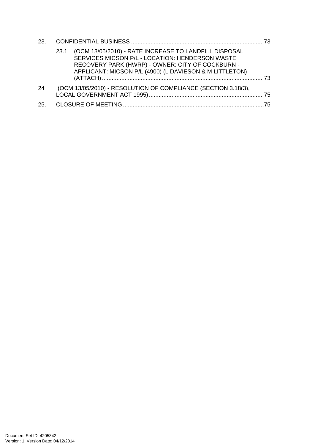| 23.  |                                                                                                                                                                                                                                 |    |
|------|---------------------------------------------------------------------------------------------------------------------------------------------------------------------------------------------------------------------------------|----|
|      | (OCM 13/05/2010) - RATE INCREASE TO LANDFILL DISPOSAL<br>23.1<br>SERVICES MICSON P/L - LOCATION: HENDERSON WASTE<br>RECOVERY PARK (HWRP) - OWNER: CITY OF COCKBURN -<br>APPLICANT: MICSON P/L (4900) (L DAVIESON & M LITTLETON) | 73 |
| 24   | (OCM 13/05/2010) - RESOLUTION OF COMPLIANCE (SECTION 3.18(3),                                                                                                                                                                   |    |
| -25. |                                                                                                                                                                                                                                 | 75 |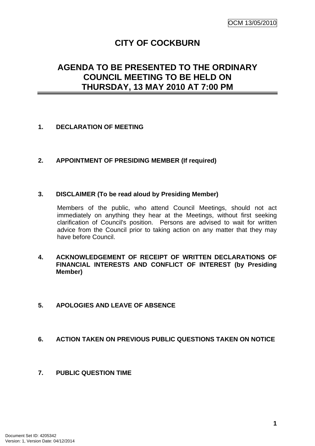# **CITY OF COCKBURN**

# <span id="page-4-0"></span>**AGENDA TO BE PRESENTED TO THE ORDINARY COUNCIL MEETING TO BE HELD ON THURSDAY, 13 MAY 2010 AT 7:00 PM**

### **1. DECLARATION OF MEETING**

### **2. APPOINTMENT OF PRESIDING MEMBER (If required)**

### **3. DISCLAIMER (To be read aloud by Presiding Member)**

Members of the public, who attend Council Meetings, should not act immediately on anything they hear at the Meetings, without first seeking clarification of Council's position. Persons are advised to wait for written advice from the Council prior to taking action on any matter that they may have before Council.

### **4. ACKNOWLEDGEMENT OF RECEIPT OF WRITTEN DECLARATIONS OF FINANCIAL INTERESTS AND CONFLICT OF INTEREST (by Presiding Member)**

### **5. APOLOGIES AND LEAVE OF ABSENCE**

### **6. ACTION TAKEN ON PREVIOUS PUBLIC QUESTIONS TAKEN ON NOTICE**

### **7. PUBLIC QUESTION TIME**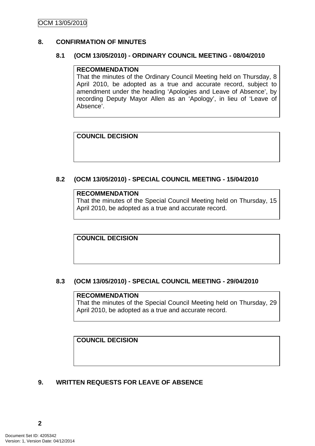### <span id="page-5-0"></span>**8. CONFIRMATION OF MINUTES**

### **8.1 (OCM 13/05/2010) - ORDINARY COUNCIL MEETING - 08/04/2010**

#### **RECOMMENDATION**

That the minutes of the Ordinary Council Meeting held on Thursday, 8 April 2010, be adopted as a true and accurate record, subject to amendment under the heading 'Apologies and Leave of Absence', by recording Deputy Mayor Allen as an 'Apology', in lieu of 'Leave of Absence'.

### **COUNCIL DECISION**

### **8.2 (OCM 13/05/2010) - SPECIAL COUNCIL MEETING - 15/04/2010**

#### **RECOMMENDATION**

That the minutes of the Special Council Meeting held on Thursday, 15 April 2010, be adopted as a true and accurate record.

**COUNCIL DECISION** 

### **8.3 (OCM 13/05/2010) - SPECIAL COUNCIL MEETING - 29/04/2010**

#### **RECOMMENDATION**

That the minutes of the Special Council Meeting held on Thursday, 29 April 2010, be adopted as a true and accurate record.

### **COUNCIL DECISION**

# **9. WRITTEN REQUESTS FOR LEAVE OF ABSENCE**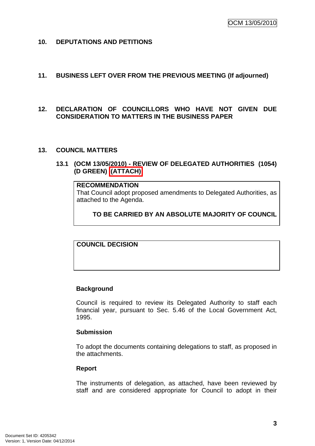<span id="page-6-0"></span>**10. DEPUTATIONS AND PETITIONS** 

### **11. BUSINESS LEFT OVER FROM THE PREVIOUS MEETING (If adjourned)**

### **12. DECLARATION OF COUNCILLORS WHO HAVE NOT GIVEN DUE CONSIDERATION TO MATTERS IN THE BUSINESS PAPER**

#### **13. COUNCIL MATTERS**

### **13.1 (OCM 13/05/2010) - REVIEW OF DELEGATED AUTHORITIES (1054) (D GREEN) (ATTACH)**

# **RECOMMENDATION**

That Council adopt proposed amendments to Delegated Authorities, as attached to the Agenda.

**TO BE CARRIED BY AN ABSOLUTE MAJORITY OF COUNCIL**

**COUNCIL DECISION** 

#### **Background**

Council is required to review its Delegated Authority to staff each financial year, pursuant to Sec. 5.46 of the Local Government Act, 1995.

#### **Submission**

To adopt the documents containing delegations to staff, as proposed in the attachments.

#### **Report**

The instruments of delegation, as attached, have been reviewed by staff and are considered appropriate for Council to adopt in their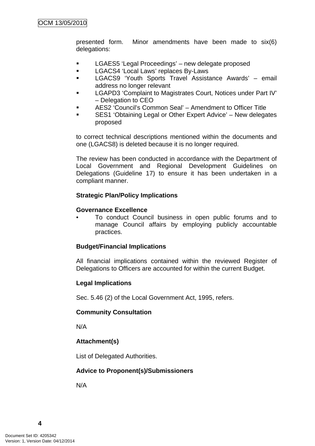presented form. Minor amendments have been made to six(6) delegations:

- **EXECUTE:** LGAES5 'Legal Proceedings' new delegate proposed
- **LGACS4 'Local Laws' replaces By-Laws**
- LGACS9 'Youth Sports Travel Assistance Awards' email address no longer relevant
- LGAPD3 'Complaint to Magistrates Court, Notices under Part IV' – Delegation to CEO
- AES2 'Council's Common Seal' Amendment to Officer Title
- SES1 'Obtaining Legal or Other Expert Advice' New delegates proposed

to correct technical descriptions mentioned within the documents and one (LGACS8) is deleted because it is no longer required.

The review has been conducted in accordance with the Department of Local Government and Regional Development Guidelines on Delegations (Guideline 17) to ensure it has been undertaken in a compliant manner.

### **Strategic Plan/Policy Implications**

#### **Governance Excellence**

• To conduct Council business in open public forums and to manage Council affairs by employing publicly accountable practices.

### **Budget/Financial Implications**

All financial implications contained within the reviewed Register of Delegations to Officers are accounted for within the current Budget.

### **Legal Implications**

Sec. 5.46 (2) of the Local Government Act, 1995, refers.

#### **Community Consultation**

N/A

# **Attachment(s)**

List of Delegated Authorities.

### **Advice to Proponent(s)/Submissioners**

N/A

**4**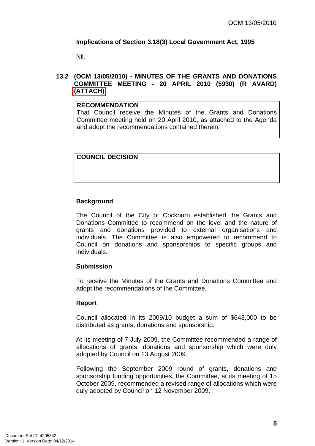# <span id="page-8-0"></span>**Implications of Section 3.18(3) Local Government Act, 1995**

Nil.

### **13.2 (OCM 13/05/2010) - MINUTES OF THE GRANTS AND DONATIONS COMMITTEE MEETING - 20 APRIL 2010 (5930) (R AVARD) (ATTACH)**

### **RECOMMENDATION**

That Council receive the Minutes of the Grants and Donations Committee meeting held on 20 April 2010, as attached to the Agenda and adopt the recommendations contained therein.

### **COUNCIL DECISION**

### **Background**

The Council of the City of Cockburn established the Grants and Donations Committee to recommend on the level and the nature of grants and donations provided to external organisations and individuals. The Committee is also empowered to recommend to Council on donations and sponsorships to specific groups and individuals.

### **Submission**

To receive the Minutes of the Grants and Donations Committee and adopt the recommendations of the Committee.

### **Report**

Council allocated in its 2009/10 budget a sum of \$643,000 to be distributed as grants, donations and sponsorship.

At its meeting of 7 July 2009, the Committee recommended a range of allocations of grants, donations and sponsorship which were duly adopted by Council on 13 August 2009.

Following the September 2009 round of grants, donations and sponsorship funding opportunities, the Committee, at its meeting of 15 October 2009, recommended a revised range of allocations which were duly adopted by Council on 12 November 2009.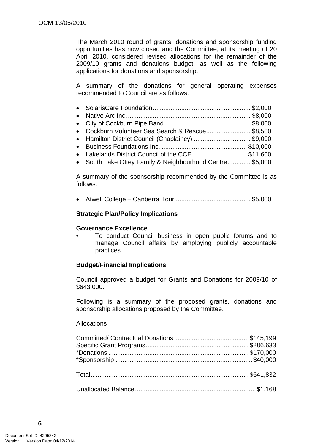The March 2010 round of grants, donations and sponsorship funding opportunities has now closed and the Committee, at its meeting of 20 April 2010, considered revised allocations for the remainder of the 2009/10 grants and donations budget, as well as the following applications for donations and sponsorship.

A summary of the donations for general operating expenses recommended to Council are as follows:

| • Cockburn Volunteer Sea Search & Rescue \$8,500      |  |
|-------------------------------------------------------|--|
| • Hamilton District Council (Chaplaincy) \$9,000      |  |
|                                                       |  |
| • Lakelands District Council of the CCE\$11,600       |  |
| Couth Loke Ottoy Family 9 Noighbourhood Contro CE 000 |  |

• South Lake Ottey Family & Neighbourhood Centre............. \$5,000

A summary of the sponsorship recommended by the Committee is as follows:

• Atwell College – Canberra Tour .......................................... \$5,000

#### **Strategic Plan/Policy Implications**

#### **Governance Excellence**

• To conduct Council business in open public forums and to manage Council affairs by employing publicly accountable practices.

### **Budget/Financial Implications**

Council approved a budget for Grants and Donations for 2009/10 of \$643,000.

Following is a summary of the proposed grants, donations and sponsorship allocations proposed by the Committee.

# Allocations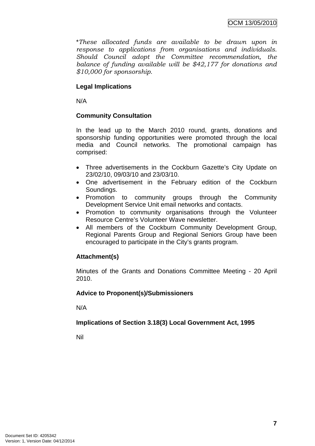\**These allocated funds are available to be drawn upon in response to applications from organisations and individuals. Should Council adopt the Committee recommendation, the balance of funding available will be \$42,177 for donations and \$10,000 for sponsorship.*

### **Legal Implications**

N/A

### **Community Consultation**

In the lead up to the March 2010 round, grants, donations and sponsorship funding opportunities were promoted through the local media and Council networks. The promotional campaign has comprised:

- Three advertisements in the Cockburn Gazette's City Update on 23/02/10, 09/03/10 and 23/03/10.
- One advertisement in the February edition of the Cockburn Soundings.
- Promotion to community groups through the Community Development Service Unit email networks and contacts.
- Promotion to community organisations through the Volunteer Resource Centre's Volunteer Wave newsletter.
- All members of the Cockburn Community Development Group, Regional Parents Group and Regional Seniors Group have been encouraged to participate in the City's grants program.

### **Attachment(s)**

Minutes of the Grants and Donations Committee Meeting - 20 April 2010.

### **Advice to Proponent(s)/Submissioners**

N/A

### **Implications of Section 3.18(3) Local Government Act, 1995**

Nil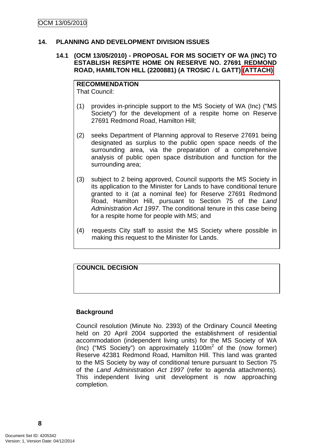### <span id="page-11-0"></span>**14. PLANNING AND DEVELOPMENT DIVISION ISSUES**

#### **14.1 (OCM 13/05/2010) - PROPOSAL FOR MS SOCIETY OF WA (INC) TO ESTABLISH RESPITE HOME ON RESERVE NO. 27691 REDMOND ROAD, HAMILTON HILL (2200881) (A TROSIC / L GATT) (ATTACH)**

**RECOMMENDATION** That Council:

- (1) provides in-principle support to the MS Society of WA (Inc) ("MS Society") for the development of a respite home on Reserve 27691 Redmond Road, Hamilton Hill;
- (2) seeks Department of Planning approval to Reserve 27691 being designated as surplus to the public open space needs of the surrounding area, via the preparation of a comprehensive analysis of public open space distribution and function for the surrounding area;
- (3) subject to 2 being approved, Council supports the MS Society in its application to the Minister for Lands to have conditional tenure granted to it (at a nominal fee) for Reserve 27691 Redmond Road, Hamilton Hill, pursuant to Section 75 of the *Land Administration Act 1997*. The conditional tenure in this case being for a respite home for people with MS; and
- (4) requests City staff to assist the MS Society where possible in making this request to the Minister for Lands.

### **COUNCIL DECISION**

#### **Background**

Council resolution (Minute No. 2393) of the Ordinary Council Meeting held on 20 April 2004 supported the establishment of residential accommodation (independent living units) for the MS Society of WA (Inc) ("MS Society") on approximately  $1100m^2$  of the (now former) Reserve 42381 Redmond Road, Hamilton Hill. This land was granted to the MS Society by way of conditional tenure pursuant to Section 75 of the *Land Administration Act 1997* (refer to agenda attachments). This independent living unit development is now approaching completion.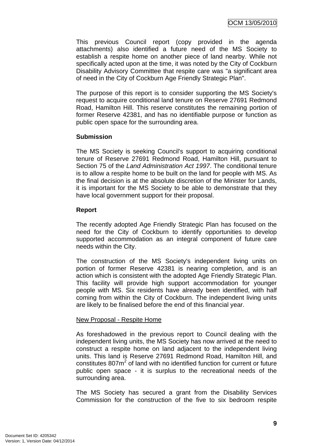This previous Council report (copy provided in the agenda attachments) also identified a future need of the MS Society to establish a respite home on another piece of land nearby. While not specifically acted upon at the time, it was noted by the City of Cockburn Disability Advisory Committee that respite care was "a significant area of need in the City of Cockburn Age Friendly Strategic Plan".

The purpose of this report is to consider supporting the MS Society's request to acquire conditional land tenure on Reserve 27691 Redmond Road, Hamilton Hill. This reserve constitutes the remaining portion of former Reserve 42381, and has no identifiable purpose or function as public open space for the surrounding area.

### **Submission**

The MS Society is seeking Council's support to acquiring conditional tenure of Reserve 27691 Redmond Road, Hamilton Hill, pursuant to Section 75 of the *Land Administration Act 1997*. The conditional tenure is to allow a respite home to be built on the land for people with MS. As the final decision is at the absolute discretion of the Minister for Lands, it is important for the MS Society to be able to demonstrate that they have local government support for their proposal.

#### **Report**

The recently adopted Age Friendly Strategic Plan has focused on the need for the City of Cockburn to identify opportunities to develop supported accommodation as an integral component of future care needs within the City.

The construction of the MS Society's independent living units on portion of former Reserve 42381 is nearing completion, and is an action which is consistent with the adopted Age Friendly Strategic Plan. This facility will provide high support accommodation for younger people with MS. Six residents have already been identified, with half coming from within the City of Cockburn. The independent living units are likely to be finalised before the end of this financial year.

### New Proposal - Respite Home

As foreshadowed in the previous report to Council dealing with the independent living units, the MS Society has now arrived at the need to construct a respite home on land adjacent to the independent living units. This land is Reserve 27691 Redmond Road, Hamilton Hill, and constitutes  $807m^2$  of land with no identified function for current or future public open space - it is surplus to the recreational needs of the surrounding area.

The MS Society has secured a grant from the Disability Services Commission for the construction of the five to six bedroom respite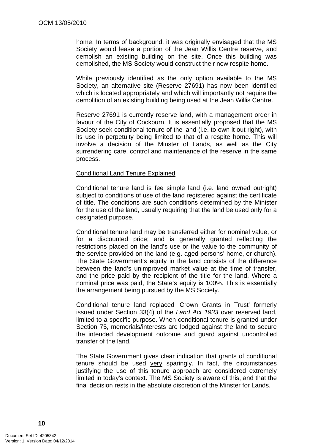home. In terms of background, it was originally envisaged that the MS Society would lease a portion of the Jean Willis Centre reserve, and demolish an existing building on the site. Once this building was demolished, the MS Society would construct their new respite home.

While previously identified as the only option available to the MS Society, an alternative site (Reserve 27691) has now been identified which is located appropriately and which will importantly not require the demolition of an existing building being used at the Jean Willis Centre.

Reserve 27691 is currently reserve land, with a management order in favour of the City of Cockburn. It is essentially proposed that the MS Society seek conditional tenure of the land (i.e. to own it out right), with its use in perpetuity being limited to that of a respite home. This will involve a decision of the Minster of Lands, as well as the City surrendering care, control and maintenance of the reserve in the same process.

#### Conditional Land Tenure Explained

Conditional tenure land is fee simple land (i.e. land owned outright) subject to conditions of use of the land registered against the certificate of title. The conditions are such conditions determined by the Minister for the use of the land, usually requiring that the land be used only for a designated purpose.

Conditional tenure land may be transferred either for nominal value, or for a discounted price; and is generally granted reflecting the restrictions placed on the land's use or the value to the community of the service provided on the land (e.g. aged persons' home, or church). The State Government's equity in the land consists of the difference between the land's unimproved market value at the time of transfer, and the price paid by the recipient of the title for the land. Where a nominal price was paid, the State's equity is 100%. This is essentially the arrangement being pursued by the MS Society.

Conditional tenure land replaced 'Crown Grants in Trust' formerly issued under Section 33(4) of the *Land Act 1933* over reserved land, limited to a specific purpose. When conditional tenure is granted under Section 75, memorials/interests are lodged against the land to secure the intended development outcome and guard against uncontrolled transfer of the land.

The State Government gives clear indication that grants of conditional tenure should be used very sparingly. In fact, the circumstances justifying the use of this tenure approach are considered extremely limited in today's context. The MS Society is aware of this, and that the final decision rests in the absolute discretion of the Minster for Lands.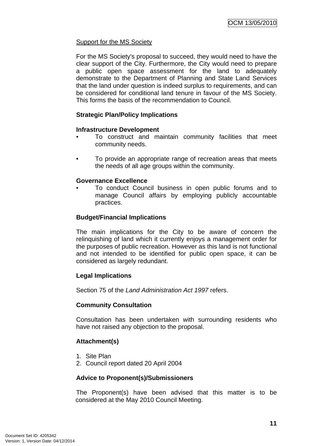# Support for the MS Society

For the MS Society's proposal to succeed, they would need to have the clear support of the City. Furthermore, the City would need to prepare a public open space assessment for the land to adequately demonstrate to the Department of Planning and State Land Services that the land under question is indeed surplus to requirements, and can be considered for conditional land tenure in favour of the MS Society. This forms the basis of the recommendation to Council.

# **Strategic Plan/Policy Implications**

### **Infrastructure Development**

- To construct and maintain community facilities that meet community needs.
- To provide an appropriate range of recreation areas that meets the needs of all age groups within the community.

### **Governance Excellence**

• To conduct Council business in open public forums and to manage Council affairs by employing publicly accountable practices.

### **Budget/Financial Implications**

The main implications for the City to be aware of concern the relinquishing of land which it currently enjoys a management order for the purposes of public recreation. However as this land is not functional and not intended to be identified for public open space, it can be considered as largely redundant.

### **Legal Implications**

Section 75 of the *Land Administration Act 1997* refers.

### **Community Consultation**

Consultation has been undertaken with surrounding residents who have not raised any objection to the proposal.

# **Attachment(s)**

- 1. Site Plan
- 2. Council report dated 20 April 2004

### **Advice to Proponent(s)/Submissioners**

The Proponent(s) have been advised that this matter is to be considered at the May 2010 Council Meeting.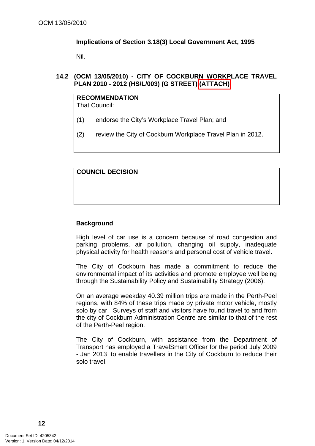### <span id="page-15-0"></span>**Implications of Section 3.18(3) Local Government Act, 1995**

Nil.

**14.2 (OCM 13/05/2010) - CITY OF COCKBURN WORKPLACE TRAVEL PLAN 2010 - 2012 (HS/L/003) (G STREET) (ATTACH)** 

#### **RECOMMENDATION** That Council:

- (1) endorse the City's Workplace Travel Plan; and
- (2) review the City of Cockburn Workplace Travel Plan in 2012.

# **COUNCIL DECISION**

### **Background**

High level of car use is a concern because of road congestion and parking problems, air pollution, changing oil supply, inadequate physical activity for health reasons and personal cost of vehicle travel.

The City of Cockburn has made a commitment to reduce the environmental impact of its activities and promote employee well being through the Sustainability Policy and Sustainability Strategy (2006).

On an average weekday 40.39 million trips are made in the Perth-Peel regions, with 84% of these trips made by private motor vehicle, mostly solo by car. Surveys of staff and visitors have found travel to and from the city of Cockburn Administration Centre are similar to that of the rest of the Perth-Peel region.

The City of Cockburn, with assistance from the Department of Transport has employed a TravelSmart Officer for the period July 2009 - Jan 2013 to enable travellers in the City of Cockburn to reduce their solo travel.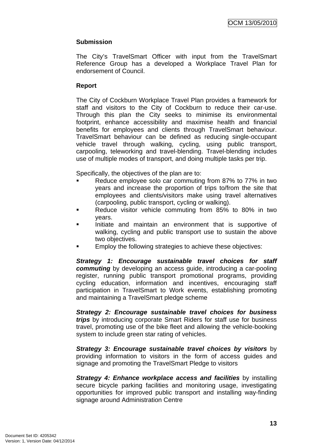### **Submission**

The City's TravelSmart Officer with input from the TravelSmart Reference Group has a developed a Workplace Travel Plan for endorsement of Council.

### **Report**

The City of Cockburn Workplace Travel Plan provides a framework for staff and visitors to the City of Cockburn to reduce their car-use. Through this plan the City seeks to minimise its environmental footprint, enhance accessibility and maximise health and financial benefits for employees and clients through TravelSmart behaviour. TravelSmart behaviour can be defined as reducing single-occupant vehicle travel through walking, cycling, using public transport, carpooling, teleworking and travel-blending. Travel-blending includes use of multiple modes of transport, and doing multiple tasks per trip.

Specifically, the objectives of the plan are to:

- Reduce employee solo car commuting from 87% to 77% in two years and increase the proportion of trips to/from the site that employees and clients/visitors make using travel alternatives (carpooling, public transport, cycling or walking).
- Reduce visitor vehicle commuting from 85% to 80% in two years.
- Initiate and maintain an environment that is supportive of walking, cycling and public transport use to sustain the above two objectives.
- Employ the following strategies to achieve these objectives:

*Strategy 1: Encourage sustainable travel choices for staff commuting* by developing an access guide, introducing a car-pooling register, running public transport promotional programs, providing cycling education, information and incentives, encouraging staff participation in TravelSmart to Work events, establishing promoting and maintaining a TravelSmart pledge scheme

*Strategy 2: Encourage sustainable travel choices for business trips* by introducing corporate Smart Riders for staff use for business travel, promoting use of the bike fleet and allowing the vehicle-booking system to include green star rating of vehicles.

*Strategy 3: Encourage sustainable travel choices by visitors* by providing information to visitors in the form of access guides and signage and promoting the TravelSmart Pledge to visitors

*Strategy 4: Enhance workplace access and facilities* by installing secure bicycle parking facilities and monitoring usage, investigating opportunities for improved public transport and installing way-finding signage around Administration Centre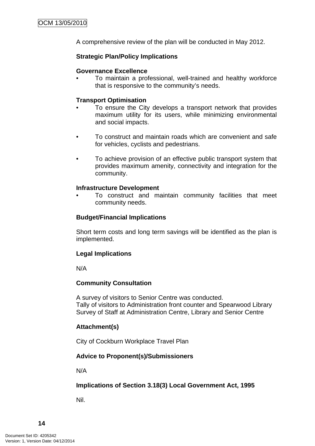A comprehensive review of the plan will be conducted in May 2012.

### **Strategic Plan/Policy Implications**

### **Governance Excellence**

• To maintain a professional, well-trained and healthy workforce that is responsive to the community's needs.

### **Transport Optimisation**

- To ensure the City develops a transport network that provides maximum utility for its users, while minimizing environmental and social impacts.
- To construct and maintain roads which are convenient and safe for vehicles, cyclists and pedestrians.
- To achieve provision of an effective public transport system that provides maximum amenity, connectivity and integration for the community.

#### **Infrastructure Development**

• To construct and maintain community facilities that meet community needs.

### **Budget/Financial Implications**

Short term costs and long term savings will be identified as the plan is implemented.

### **Legal Implications**

N/A

### **Community Consultation**

A survey of visitors to Senior Centre was conducted. Tally of visitors to Administration front counter and Spearwood Library Survey of Staff at Administration Centre, Library and Senior Centre

### **Attachment(s)**

City of Cockburn Workplace Travel Plan

### **Advice to Proponent(s)/Submissioners**

N/A

### **Implications of Section 3.18(3) Local Government Act, 1995**

Nil.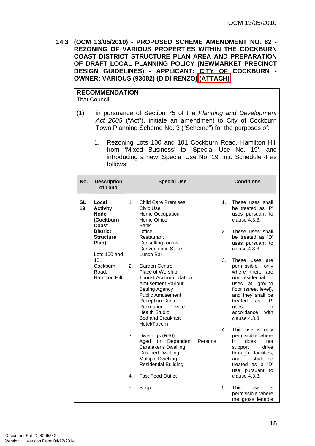<span id="page-18-0"></span>**14.3 (OCM 13/05/2010) - PROPOSED SCHEME AMENDMENT NO. 82 - REZONING OF VARIOUS PROPERTIES WITHIN THE COCKBURN COAST DISTRICT STRUCTURE PLAN AREA AND PREPARATION OF DRAFT LOCAL PLANNING POLICY (NEWMARKET PRECINCT DESIGN GUIDELINES) - APPLICANT: CITY OF COCKBURN - OWNER: VARIOUS (93082) (D DI RENZO) (ATTACH)** 

# **RECOMMENDATION**

That Council:

- (1) in pursuance of Section 75 of the *Planning and Development Act 2005* ("Act"), initiate an amendment to City of Cockburn Town Planning Scheme No. 3 ("Scheme") for the purposes of:
	- 1. Rezoning Lots 100 and 101 Cockburn Road, Hamilton Hill from 'Mixed Business' to 'Special Use No. 19', and introducing a new 'Special Use No. 19' into Schedule 4 as follows:

| No.             | <b>Description</b><br>of Land                                                                                 | <b>Special Use</b>                                                                                                                                                                                                                                                                                | <b>Conditions</b>                                                                                                                                                                                            |  |  |
|-----------------|---------------------------------------------------------------------------------------------------------------|---------------------------------------------------------------------------------------------------------------------------------------------------------------------------------------------------------------------------------------------------------------------------------------------------|--------------------------------------------------------------------------------------------------------------------------------------------------------------------------------------------------------------|--|--|
| <b>SU</b><br>19 | Local<br><b>Activity</b><br><b>Node</b><br>(Cockburn<br>Coast<br><b>District</b><br><b>Structure</b><br>Plan) | 1 <sub>1</sub><br><b>Child Care Premises</b><br>Civic Use<br>Home Occupation<br>Home Office<br><b>Bank</b><br>Office<br>Restaurant<br>Consulting rooms                                                                                                                                            | 1 <sub>1</sub><br>These uses shall<br>be treated as 'P'<br>uses pursuant to<br>clause 4.3.3.<br>2.<br>These uses shall<br>be treated as 'D'                                                                  |  |  |
|                 | Lots 100 and<br>101                                                                                           | <b>Convenience Store</b><br>Lunch Bar                                                                                                                                                                                                                                                             | uses pursuant to<br>clause 4.3.3.<br>3.<br>These uses                                                                                                                                                        |  |  |
|                 | Cockburn<br>Road,<br><b>Hamilton Hill</b>                                                                     | 2 <sub>1</sub><br>Garden Centre<br>Place of Worship<br><b>Tourist Accommodation</b><br><b>Amusement Parlour</b><br><b>Betting Agency</b><br><b>Public Amusement</b><br><b>Reception Centre</b><br><b>Recreation - Private</b><br><b>Health Studio</b><br><b>Bed and Breakfast</b><br>Hotel/Tavern | are<br>permissible<br>only<br>where there are<br>non-residential<br>uses at ground<br>floor (street level),<br>and they shall be<br>treated<br>'P'<br>as<br>uses<br>in<br>with<br>accordance<br>clause 4.3.3 |  |  |
|                 |                                                                                                               | 3.<br>Dwellings (R60):<br>Aged or Dependent<br>Persons<br>Caretaker's Dwelling<br><b>Grouped Dwelling</b><br><b>Multiple Dwelling</b><br><b>Residential Building</b><br><b>Fast Food Outlet</b><br>4.                                                                                             | 4.<br>This use is only<br>permissible where<br>it<br>does<br>not<br>drive<br>support<br>through facilities,<br>shall<br>and it l<br>be<br>treated as a 'D'<br>use pursuant to<br>clause 4.3.3.               |  |  |
|                 |                                                                                                               | 5.<br>Shop                                                                                                                                                                                                                                                                                        | 5 <sub>1</sub><br><b>This</b><br>is<br>use<br>permissible where<br>the gross lettable                                                                                                                        |  |  |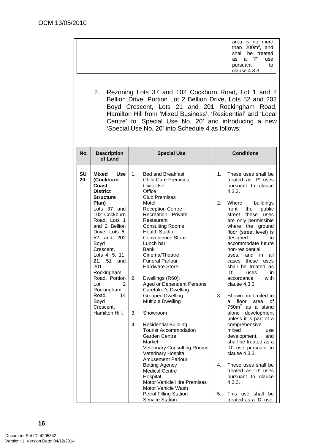|                 | 2.                                                                                                                                                                                                                                                                                                                                                                         | Rezoning Lots 37 and 102 Cockburn Road, Lot 1 and 2<br>Bellion Drive, Portion Lot 2 Bellion Drive, Lots 52 and 202<br>Boyd Crescent, Lots 21 and 201 Rockingham Road,                                                                                                                                                                                                                                                                                                                                                                                                                                                                                                                                                                                                                                                                                                                                       | area is no more<br>than $200m^2$ , and<br>shall be treated<br>P'<br>a<br>use<br>as<br>pursuant<br>to<br>clause 4.3.3.                                                                                                                                                                                                                                                                                                                                                                                                                                                                                                                                                                                                                                                                                                           |
|-----------------|----------------------------------------------------------------------------------------------------------------------------------------------------------------------------------------------------------------------------------------------------------------------------------------------------------------------------------------------------------------------------|-------------------------------------------------------------------------------------------------------------------------------------------------------------------------------------------------------------------------------------------------------------------------------------------------------------------------------------------------------------------------------------------------------------------------------------------------------------------------------------------------------------------------------------------------------------------------------------------------------------------------------------------------------------------------------------------------------------------------------------------------------------------------------------------------------------------------------------------------------------------------------------------------------------|---------------------------------------------------------------------------------------------------------------------------------------------------------------------------------------------------------------------------------------------------------------------------------------------------------------------------------------------------------------------------------------------------------------------------------------------------------------------------------------------------------------------------------------------------------------------------------------------------------------------------------------------------------------------------------------------------------------------------------------------------------------------------------------------------------------------------------|
| No.             | <b>Description</b><br>of Land                                                                                                                                                                                                                                                                                                                                              | Hamilton Hill from 'Mixed Business', 'Residential' and 'Local<br>Centre' to 'Special Use No. 20' and introducing a new<br>'Special Use No. 20' into Schedule 4 as follows:<br><b>Special Use</b>                                                                                                                                                                                                                                                                                                                                                                                                                                                                                                                                                                                                                                                                                                            | <b>Conditions</b>                                                                                                                                                                                                                                                                                                                                                                                                                                                                                                                                                                                                                                                                                                                                                                                                               |
| <b>SU</b><br>20 | Mixed<br>Use<br>(Cockburn<br>Coast<br><b>District</b><br><b>Structure</b><br>Plan)<br>Lots 37 and<br>102 Cockburn<br>Road, Lots 1<br>and 2 Bellion<br>Drive, Lots 6,<br>52 and 202<br>Boyd<br>Crescent,<br>Lots 4, 5, 11,<br>21, 51 and<br>201<br>Rockingham<br>Road, Portion<br>Lot<br>$\overline{2}$<br>Rockingham<br>Road,<br>14<br>Boyd<br>Crescent,<br>Hamilton Hill. | 1.<br><b>Bed and Breakfast</b><br><b>Child Care Premises</b><br>Civic Use<br>Office<br><b>Club Premises</b><br>Motel<br><b>Reception Centre</b><br><b>Recreation - Private</b><br>Restaurant<br><b>Consulting Rooms</b><br><b>Health Studio</b><br><b>Convenience Store</b><br>Lunch bar<br>Bank<br>Cinema/Theatre<br><b>Funeral Parlour</b><br><b>Hardware Store</b><br>2.<br>Dwellings (R60):<br>Aged or Dependent Persons<br>Caretaker's Dwelling<br><b>Grouped Dwelling</b><br><b>Multiple Dwelling</b><br>3.<br>Showroom<br>4.<br><b>Residential Building</b><br><b>Tourist Accommodation</b><br><b>Garden Centre</b><br>Market<br><b>Veterinary Consulting Rooms</b><br>Veterinary Hospital<br><b>Amusement Parlour</b><br><b>Betting Agency</b><br><b>Medical Centre</b><br>Hospital<br>Motor Vehicle Hire Premises<br>Motor Vehicle Wash<br><b>Petrol Filling Station</b><br><b>Service Station</b> | These uses shall be<br>1.<br>treated as 'P' uses<br>pursuant to clause<br>4.3.3.<br>2.<br>buildings<br>Where<br>public<br>front<br>the<br>these<br>street<br>uses<br>are only permissible<br>where the ground<br>floor (street level) is<br>designed<br>to<br>accommodate future<br>non-residential<br>uses, and in all<br>cases these uses<br>shall be treated as<br>'D'<br>uses<br>in<br>accordance<br>with<br>clause 4.3.3<br>3.<br>Showroom limited to<br>floor<br>οf<br>area<br>a<br>$750m2$ as a stand<br>alone<br>development<br>unless it is part of a<br>comprehensive<br>mixed<br>use<br>development,<br>and<br>shall be treated as a<br>'D' use pursuant to<br>clause 4.3.3.<br>4.<br>These uses shall be<br>treated as 'D' uses<br>pursuant to clause<br>4.3.3.<br>5.<br>This use shall be<br>treated as a 'D' use, |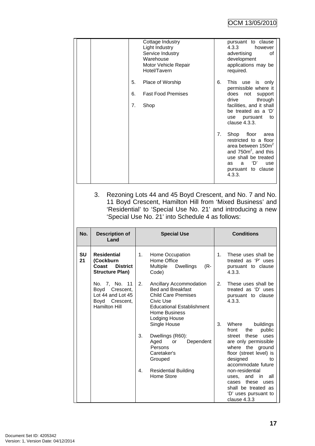|    | Cottage Industry<br>Light Industry<br>Service Industry<br>Warehouse<br>Motor Vehicle Repair<br>Hotel/Tavern                                                                                                                              |    | pursuant to clause<br>4.3.3<br>however<br>advertising<br>Ωf<br>development<br>applications may be<br>required.                                                                           |
|----|------------------------------------------------------------------------------------------------------------------------------------------------------------------------------------------------------------------------------------------|----|------------------------------------------------------------------------------------------------------------------------------------------------------------------------------------------|
|    | 5.<br>Place of Worship                                                                                                                                                                                                                   | 6. | This use is only<br>permissible where it                                                                                                                                                 |
|    | <b>Fast Food Premises</b><br>6.                                                                                                                                                                                                          |    | does<br>not<br>support<br>through<br>drive                                                                                                                                               |
|    | 7.<br>Shop                                                                                                                                                                                                                               |    | facilities, and it shall<br>be treated as a 'D'<br>use pursuant<br>to<br>clause 4.3.3.                                                                                                   |
|    |                                                                                                                                                                                                                                          | 7. | Shop floor<br>area<br>restricted to a floor<br>area between 150m <sup>2</sup><br>and $7502$ , and this<br>use shall be treated<br>'D'<br>a.<br>use<br>as<br>pursuant to clause<br>4.3.3. |
| 3. | Rezoning Lots 44 and 45 Boyd Crescent, and No. 7 and No.<br>11 Boyd Crescent, Hamilton Hill from 'Mixed Business' and<br>'Residential' to 'Special Use No. 21' and introducing a new<br>'Special Use No. 21' into Schedule 4 as follows: |    |                                                                                                                                                                                          |

| No.             | <b>Description of</b><br>Land                                                                  | <b>Special Use</b>                                                                                                                                                                | <b>Conditions</b>                                                                                                               |  |
|-----------------|------------------------------------------------------------------------------------------------|-----------------------------------------------------------------------------------------------------------------------------------------------------------------------------------|---------------------------------------------------------------------------------------------------------------------------------|--|
| <b>SU</b><br>21 | <b>Residential</b><br>(Cockburn<br><b>District</b><br>Coast<br><b>Structure Plan)</b>          | 1.<br>Home Occupation<br>Home Office<br><b>Dwellings</b><br>Multiple<br>(R-<br>Code)                                                                                              | These uses shall be<br>1.<br>treated as 'P' uses<br>pursuant to clause<br>4.3.3.                                                |  |
|                 | No. 7, No. 11<br>Boyd Crescent,<br>Lot 44 and Lot 45<br>Boyd Crescent,<br><b>Hamilton Hill</b> | 2.<br>Ancillary Accommodation<br><b>Bed and Breakfast</b><br><b>Child Care Premises</b><br>Civic Use<br><b>Educational Establishment</b><br><b>Home Business</b><br>Lodging House | 2.<br>These uses shall be<br>treated as 'D' uses<br>pursuant to clause<br>4.3.3.                                                |  |
|                 |                                                                                                | Single House<br>3.<br>Dwellings (R60):<br>Aged<br>Dependent<br>or<br>Persons                                                                                                      | 3.<br>Where<br>buildings<br>public<br>front<br>the<br>these<br>uses<br>street<br>are only permissible<br>where the ground       |  |
|                 |                                                                                                | Caretaker's<br>Grouped                                                                                                                                                            | floor (street level) is<br>designed<br>to<br>accommodate future                                                                 |  |
|                 |                                                                                                | <b>Residential Building</b><br>4.<br>Home Store                                                                                                                                   | non-residential<br>uses, and in<br>all<br>these<br>cases<br>uses<br>shall be treated as<br>'D' uses pursuant to<br>clause 4.3.3 |  |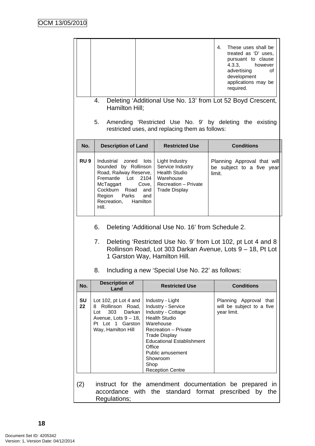|                 | 4.<br>Hamilton Hill;<br>5.                                                                                                                                                                                                                                                             |                                     | restricted uses, and replacing them as follows:                                                                                                                                                                                                         | 4.<br>These uses shall be<br>treated as 'D' uses,<br>pursuant to clause<br>4.3.3,<br>however<br>advertising<br>οf<br>development<br>applications may be<br>required.<br>Deleting 'Additional Use No. 13' from Lot 52 Boyd Crescent,<br>Amending 'Restricted Use No. 9' by deleting the existing |  |
|-----------------|----------------------------------------------------------------------------------------------------------------------------------------------------------------------------------------------------------------------------------------------------------------------------------------|-------------------------------------|---------------------------------------------------------------------------------------------------------------------------------------------------------------------------------------------------------------------------------------------------------|-------------------------------------------------------------------------------------------------------------------------------------------------------------------------------------------------------------------------------------------------------------------------------------------------|--|
| No.             | <b>Description of Land</b>                                                                                                                                                                                                                                                             |                                     | <b>Restricted Use</b>                                                                                                                                                                                                                                   | <b>Conditions</b>                                                                                                                                                                                                                                                                               |  |
| RU <sub>9</sub> | Industrial zoned<br>bounded by Rollinson<br>Road, Railway Reserve,<br>Fremantle Lot<br>McTaggart<br>Cockburn Road<br>Parks<br>Region<br>Recreation,<br>Hamilton<br>Hill.                                                                                                               | lots<br>2104<br>Cove,<br>and<br>and | Light Industry<br>Service Industry<br><b>Health Studio</b><br>Warehouse<br>Recreation - Private<br><b>Trade Display</b>                                                                                                                                 | Planning Approval that will<br>be subject to a five year<br>limit.                                                                                                                                                                                                                              |  |
|                 | 6.<br>Deleting 'Additional Use No. 16' from Schedule 2.<br>Deleting 'Restricted Use No. 9' from Lot 102, pt Lot 4 and 8<br>7.<br>Rollinson Road, Lot 303 Darkan Avenue, Lots 9 – 18, Pt Lot<br>1 Garston Way, Hamilton Hill.<br>Including a new 'Special Use No. 22' as follows:<br>8. |                                     |                                                                                                                                                                                                                                                         |                                                                                                                                                                                                                                                                                                 |  |
| No.             | <b>Description of</b><br>Land                                                                                                                                                                                                                                                          |                                     | <b>Restricted Use</b>                                                                                                                                                                                                                                   | <b>Conditions</b>                                                                                                                                                                                                                                                                               |  |
| <b>SU</b><br>22 | Lot 102, pt Lot 4 and<br>8 Rollinson Road,<br>303<br>Darkan<br>Lot<br>Avenue, Lots 9 - 18,<br>Pt Lot 1 Garston<br>Way, Hamilton Hill                                                                                                                                                   | Office<br>Shop                      | Industry - Light<br>Industry - Service<br>Industry - Cottage<br><b>Health Studio</b><br>Warehouse<br><b>Recreation - Private</b><br><b>Trade Display</b><br><b>Educational Establishment</b><br>Public amusement<br>Showroom<br><b>Reception Centre</b> | Planning Approval that<br>will be subject to a five<br>year limit.                                                                                                                                                                                                                              |  |
| (2)             | accordance<br>Regulations;                                                                                                                                                                                                                                                             |                                     |                                                                                                                                                                                                                                                         | instruct for the amendment documentation be prepared in<br>with the standard format prescribed by the                                                                                                                                                                                           |  |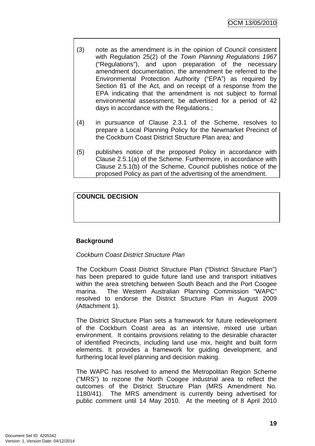- (3) note as the amendment is in the opinion of Council consistent with Regulation 25(2) of the *Town Planning Regulations 1967* ("Regulations"), and upon preparation of the necessary amendment documentation, the amendment be referred to the Environmental Protection Authority ("EPA") as required by Section 81 of the Act, and on receipt of a response from the EPA indicating that the amendment is not subject to formal environmental assessment, be advertised for a period of 42 days in accordance with the Regulations.;
- (4) in pursuance of Clause 2.3.1 of the Scheme, resolves to prepare a Local Planning Policy for the Newmarket Precinct of the Cockburn Coast District Structure Plan area; and
- (5) publishes notice of the proposed Policy in accordance with Clause 2.5.1(a) of the Scheme. Furthermore, in accordance with Clause 2.5.1(b) of the Scheme, Council publishes notice of the proposed Policy as part of the advertising of the amendment.

# **COUNCIL DECISION**

# **Background**

# *Cockburn Coast District Structure Plan*

The Cockburn Coast District Structure Plan ("District Structure Plan") has been prepared to guide future land use and transport initiatives within the area stretching between South Beach and the Port Coogee marina. The Western Australian Planning Commission "WAPC" resolved to endorse the District Structure Plan in August 2009 (Attachment 1).

The District Structure Plan sets a framework for future redevelopment of the Cockburn Coast area as an intensive, mixed use urban environment. It contains provisions relating to the desirable character of identified Precincts, including land use mix, height and built form elements. It provides a framework for guiding development, and furthering local level planning and decision making.

The WAPC has resolved to amend the Metropolitan Region Scheme ("MRS") to rezone the North Coogee industrial area to reflect the outcomes of the District Structure Plan (MRS Amendment No. 1180/41). The MRS amendment is currently being advertised for public comment until 14 May 2010. At the meeting of 8 April 2010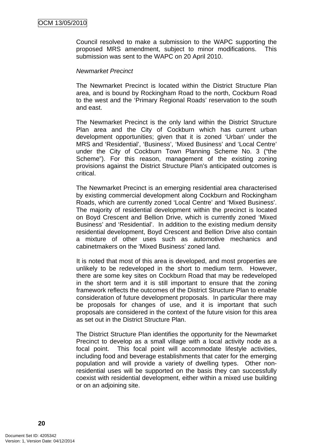Council resolved to make a submission to the WAPC supporting the proposed MRS amendment, subject to minor modifications. This submission was sent to the WAPC on 20 April 2010.

#### *Newmarket Precinct*

The Newmarket Precinct is located within the District Structure Plan area, and is bound by Rockingham Road to the north, Cockburn Road to the west and the 'Primary Regional Roads' reservation to the south and east.

The Newmarket Precinct is the only land within the District Structure Plan area and the City of Cockburn which has current urban development opportunities; given that it is zoned 'Urban' under the MRS and 'Residential', 'Business', 'Mixed Business' and 'Local Centre' under the City of Cockburn Town Planning Scheme No. 3 ("the Scheme"). For this reason, management of the existing zoning provisions against the District Structure Plan's anticipated outcomes is critical.

The Newmarket Precinct is an emerging residential area characterised by existing commercial development along Cockburn and Rockingham Roads, which are currently zoned 'Local Centre' and 'Mixed Business'. The majority of residential development within the precinct is located on Boyd Crescent and Bellion Drive, which is currently zoned 'Mixed Business' and 'Residential'. In addition to the existing medium density residential development, Boyd Crescent and Bellion Drive also contain a mixture of other uses such as automotive mechanics and cabinetmakers on the 'Mixed Business' zoned land.

It is noted that most of this area is developed, and most properties are unlikely to be redeveloped in the short to medium term. However, there are some key sites on Cockburn Road that may be redeveloped in the short term and it is still important to ensure that the zoning framework reflects the outcomes of the District Structure Plan to enable consideration of future development proposals. In particular there may be proposals for changes of use, and it is important that such proposals are considered in the context of the future vision for this area as set out in the District Structure Plan.

The District Structure Plan identifies the opportunity for the Newmarket Precinct to develop as a small village with a local activity node as a focal point. This focal point will accommodate lifestyle activities, including food and beverage establishments that cater for the emerging population and will provide a variety of dwelling types. Other nonresidential uses will be supported on the basis they can successfully coexist with residential development, either within a mixed use building or on an adjoining site.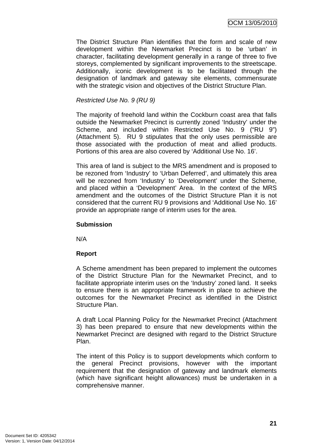The District Structure Plan identifies that the form and scale of new development within the Newmarket Precinct is to be 'urban' in character, facilitating development generally in a range of three to five storeys, complemented by significant improvements to the streetscape. Additionally, iconic development is to be facilitated through the designation of landmark and gateway site elements, commensurate with the strategic vision and objectives of the District Structure Plan.

### *Restricted Use No. 9 (RU 9)*

The majority of freehold land within the Cockburn coast area that falls outside the Newmarket Precinct is currently zoned 'Industry' under the Scheme, and included within Restricted Use No. 9 ("RU 9") (Attachment 5). RU 9 stipulates that the only uses permissible are those associated with the production of meat and allied products. Portions of this area are also covered by 'Additional Use No. 16'.

This area of land is subject to the MRS amendment and is proposed to be rezoned from 'Industry' to 'Urban Deferred', and ultimately this area will be rezoned from 'Industry' to 'Development' under the Scheme, and placed within a 'Development' Area. In the context of the MRS amendment and the outcomes of the District Structure Plan it is not considered that the current RU 9 provisions and 'Additional Use No. 16' provide an appropriate range of interim uses for the area.

### **Submission**

N/A

### **Report**

A Scheme amendment has been prepared to implement the outcomes of the District Structure Plan for the Newmarket Precinct, and to facilitate appropriate interim uses on the 'Industry' zoned land. It seeks to ensure there is an appropriate framework in place to achieve the outcomes for the Newmarket Precinct as identified in the District Structure Plan.

A draft Local Planning Policy for the Newmarket Precinct (Attachment 3) has been prepared to ensure that new developments within the Newmarket Precinct are designed with regard to the District Structure Plan.

The intent of this Policy is to support developments which conform to the general Precinct provisions, however with the important requirement that the designation of gateway and landmark elements (which have significant height allowances) must be undertaken in a comprehensive manner.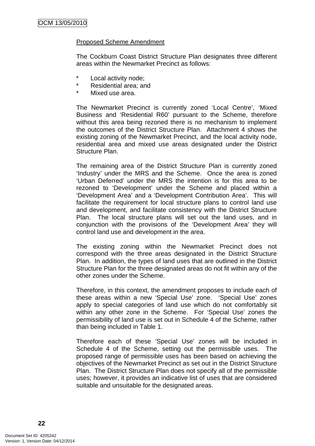### Proposed Scheme Amendment

The Cockburn Coast District Structure Plan designates three different areas within the Newmarket Precinct as follows:

- Local activity node;
- \* Residential area; and
- \* Mixed use area.

The Newmarket Precinct is currently zoned 'Local Centre', 'Mixed Business and 'Residential R60' pursuant to the Scheme, therefore without this area being rezoned there is no mechanism to implement the outcomes of the District Structure Plan. Attachment 4 shows the existing zoning of the Newmarket Precinct, and the local activity node, residential area and mixed use areas designated under the District Structure Plan.

The remaining area of the District Structure Plan is currently zoned 'Industry' under the MRS and the Scheme. Once the area is zoned 'Urban Deferred' under the MRS the intention is for this area to be rezoned to 'Development' under the Scheme and placed within a 'Development Area' and a 'Development Contribution Area'. This will facilitate the requirement for local structure plans to control land use and development, and facilitate consistency with the District Structure Plan. The local structure plans will set out the land uses, and in conjunction with the provisions of the 'Development Area' they will control land use and development in the area.

The existing zoning within the Newmarket Precinct does not correspond with the three areas designated in the District Structure Plan. In addition, the types of land uses that are outlined in the District Structure Plan for the three designated areas do not fit within any of the other zones under the Scheme.

Therefore, in this context, the amendment proposes to include each of these areas within a new 'Special Use' zone. 'Special Use' zones apply to special categories of land use which do not comfortably sit within any other zone in the Scheme. For 'Special Use' zones the permissibility of land use is set out in Schedule 4 of the Scheme, rather than being included in Table 1.

Therefore each of these 'Special Use' zones will be included in Schedule 4 of the Scheme, setting out the permissible uses. The proposed range of permissible uses has been based on achieving the objectives of the Newmarket Precinct as set out in the District Structure Plan. The District Structure Plan does not specify all of the permissible uses; however, it provides an indicative list of uses that are considered suitable and unsuitable for the designated areas.

**22**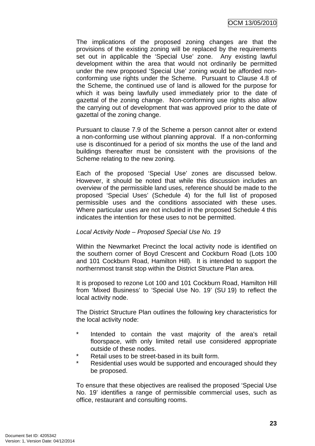The implications of the proposed zoning changes are that the provisions of the existing zoning will be replaced by the requirements set out in applicable the 'Special Use' zone. Any existing lawful development within the area that would not ordinarily be permitted under the new proposed 'Special Use' zoning would be afforded nonconforming use rights under the Scheme. Pursuant to Clause 4.8 of the Scheme, the continued use of land is allowed for the purpose for which it was being lawfully used immediately prior to the date of gazettal of the zoning change. Non-conforming use rights also allow the carrying out of development that was approved prior to the date of gazettal of the zoning change.

Pursuant to clause 7.9 of the Scheme a person cannot alter or extend a non-conforming use without planning approval. If a non-conforming use is discontinued for a period of six months the use of the land and buildings thereafter must be consistent with the provisions of the Scheme relating to the new zoning.

Each of the proposed 'Special Use' zones are discussed below. However, it should be noted that while this discussion includes an overview of the permissible land uses, reference should be made to the proposed 'Special Uses' (Schedule 4) for the full list of proposed permissible uses and the conditions associated with these uses. Where particular uses are not included in the proposed Schedule 4 this indicates the intention for these uses to not be permitted.

### *Local Activity Node – Proposed Special Use No. 19*

Within the Newmarket Precinct the local activity node is identified on the southern corner of Boyd Crescent and Cockburn Road (Lots 100 and 101 Cockburn Road, Hamilton Hill). It is intended to support the northernmost transit stop within the District Structure Plan area.

It is proposed to rezone Lot 100 and 101 Cockburn Road, Hamilton Hill from 'Mixed Business' to 'Special Use No. 19' (SU 19) to reflect the local activity node.

The District Structure Plan outlines the following key characteristics for the local activity node:

- \* Intended to contain the vast majority of the area's retail floorspace, with only limited retail use considered appropriate outside of these nodes.
- \* Retail uses to be street-based in its built form.
- Residential uses would be supported and encouraged should they be proposed.

To ensure that these objectives are realised the proposed 'Special Use No. 19' identifies a range of permissible commercial uses, such as office, restaurant and consulting rooms.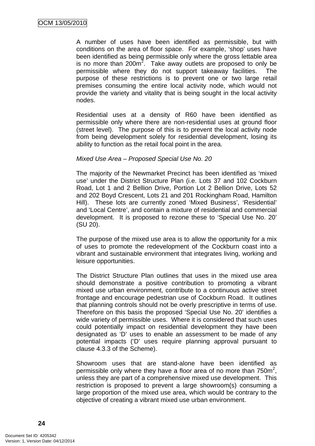A number of uses have been identified as permissible, but with conditions on the area of floor space. For example, 'shop' uses have been identified as being permissible only where the gross lettable area is no more than  $200m^2$ . Take away outlets are proposed to only be permissible where they do not support takeaway facilities. The purpose of these restrictions is to prevent one or two large retail premises consuming the entire local activity node, which would not provide the variety and vitality that is being sought in the local activity nodes.

Residential uses at a density of R60 have been identified as permissible only where there are non-residential uses at ground floor (street level). The purpose of this is to prevent the local activity node from being development solely for residential development, losing its ability to function as the retail focal point in the area.

#### *Mixed Use Area – Proposed Special Use No. 20*

The majority of the Newmarket Precinct has been identified as 'mixed use' under the District Structure Plan (i.e. Lots 37 and 102 Cockburn Road, Lot 1 and 2 Bellion Drive, Portion Lot 2 Bellion Drive, Lots 52 and 202 Boyd Crescent, Lots 21 and 201 Rockingham Road, Hamilton Hill). These lots are currently zoned 'Mixed Business', 'Residential' and 'Local Centre', and contain a mixture of residential and commercial development. It is proposed to rezone these to 'Special Use No. 20' (SU 20).

The purpose of the mixed use area is to allow the opportunity for a mix of uses to promote the redevelopment of the Cockburn coast into a vibrant and sustainable environment that integrates living, working and leisure opportunities.

The District Structure Plan outlines that uses in the mixed use area should demonstrate a positive contribution to promoting a vibrant mixed use urban environment, contribute to a continuous active street frontage and encourage pedestrian use of Cockburn Road. It outlines that planning controls should not be overly prescriptive in terms of use. Therefore on this basis the proposed 'Special Use No. 20' identifies a wide variety of permissible uses. Where it is considered that such uses could potentially impact on residential development they have been designated as 'D' uses to enable an assessment to be made of any potential impacts ('D' uses require planning approval pursuant to clause 4.3.3 of the Scheme).

Showroom uses that are stand-alone have been identified as permissible only where they have a floor area of no more than  $750m^2$ , unless they are part of a comprehensive mixed use development. This restriction is proposed to prevent a large showroom(s) consuming a large proportion of the mixed use area, which would be contrary to the objective of creating a vibrant mixed use urban environment.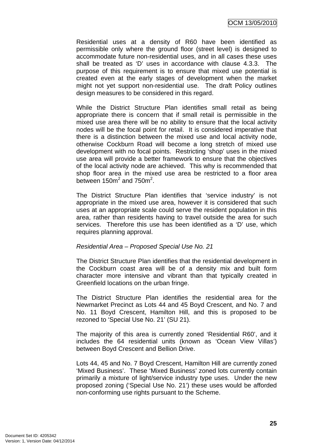OCM 13/05/2010

Residential uses at a density of R60 have been identified as permissible only where the ground floor (street level) is designed to accommodate future non-residential uses, and in all cases these uses shall be treated as 'D' uses in accordance with clause 4.3.3. The purpose of this requirement is to ensure that mixed use potential is created even at the early stages of development when the market might not yet support non-residential use. The draft Policy outlines design measures to be considered in this regard.

While the District Structure Plan identifies small retail as being appropriate there is concern that if small retail is permissible in the mixed use area there will be no ability to ensure that the local activity nodes will be the focal point for retail. It is considered imperative that there is a distinction between the mixed use and local activity node, otherwise Cockburn Road will become a long stretch of mixed use development with no focal points. Restricting 'shop' uses in the mixed use area will provide a better framework to ensure that the objectives of the local activity node are achieved. This why is recommended that shop floor area in the mixed use area be restricted to a floor area between 150 $m^2$  and 750 $m^2$ .

The District Structure Plan identifies that 'service industry' is not appropriate in the mixed use area, however it is considered that such uses at an appropriate scale could serve the resident population in this area, rather than residents having to travel outside the area for such services. Therefore this use has been identified as a 'D' use, which requires planning approval.

#### *Residential Area – Proposed Special Use No. 21*

The District Structure Plan identifies that the residential development in the Cockburn coast area will be of a density mix and built form character more intensive and vibrant than that typically created in Greenfield locations on the urban fringe.

The District Structure Plan identifies the residential area for the Newmarket Precinct as Lots 44 and 45 Boyd Crescent, and No. 7 and No. 11 Boyd Crescent, Hamilton Hill, and this is proposed to be rezoned to 'Special Use No. 21' (SU 21).

The majority of this area is currently zoned 'Residential R60', and it includes the 64 residential units (known as 'Ocean View Villas') between Boyd Crescent and Bellion Drive.

Lots 44, 45 and No. 7 Boyd Crescent, Hamilton Hill are currently zoned 'Mixed Business'. These 'Mixed Business' zoned lots currently contain primarily a mixture of light/service industry type uses. Under the new proposed zoning ('Special Use No. 21') these uses would be afforded non-conforming use rights pursuant to the Scheme.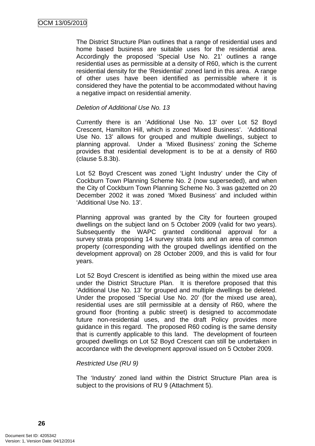The District Structure Plan outlines that a range of residential uses and home based business are suitable uses for the residential area. Accordingly the proposed 'Special Use No. 21' outlines a range residential uses as permissible at a density of R60, which is the current residential density for the 'Residential' zoned land in this area. A range of other uses have been identified as permissible where it is considered they have the potential to be accommodated without having a negative impact on residential amenity.

### *Deletion of Additional Use No. 13*

Currently there is an 'Additional Use No. 13' over Lot 52 Boyd Crescent, Hamilton Hill, which is zoned 'Mixed Business'. 'Additional Use No. 13' allows for grouped and multiple dwellings, subject to planning approval. Under a 'Mixed Business' zoning the Scheme provides that residential development is to be at a density of R60 (clause 5.8.3b).

Lot 52 Boyd Crescent was zoned 'Light Industry' under the City of Cockburn Town Planning Scheme No. 2 (now superseded), and when the City of Cockburn Town Planning Scheme No. 3 was gazetted on 20 December 2002 it was zoned 'Mixed Business' and included within 'Additional Use No. 13'.

Planning approval was granted by the City for fourteen grouped dwellings on the subject land on 5 October 2009 (valid for two years). Subsequently the WAPC granted conditional approval for a survey strata proposing 14 survey strata lots and an area of common property (corresponding with the grouped dwellings identified on the development approval) on 28 October 2009, and this is valid for four years.

Lot 52 Boyd Crescent is identified as being within the mixed use area under the District Structure Plan. It is therefore proposed that this 'Additional Use No. 13' for grouped and multiple dwellings be deleted. Under the proposed 'Special Use No. 20' (for the mixed use area), residential uses are still permissible at a density of R60, where the ground floor (fronting a public street) is designed to accommodate future non-residential uses, and the draft Policy provides more guidance in this regard. The proposed R60 coding is the same density that is currently applicable to this land. The development of fourteen grouped dwellings on Lot 52 Boyd Crescent can still be undertaken in accordance with the development approval issued on 5 October 2009.

#### *Restricted Use (RU 9)*

The 'Industry' zoned land within the District Structure Plan area is subject to the provisions of RU 9 (Attachment 5).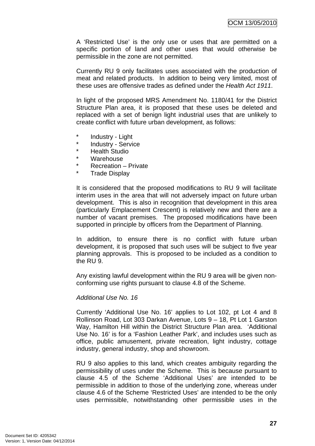A 'Restricted Use' is the only use or uses that are permitted on a specific portion of land and other uses that would otherwise be permissible in the zone are not permitted.

Currently RU 9 only facilitates uses associated with the production of meat and related products. In addition to being very limited, most of these uses are offensive trades as defined under the *Health Act 1911*.

In light of the proposed MRS Amendment No. 1180/41 for the District Structure Plan area, it is proposed that these uses be deleted and replaced with a set of benign light industrial uses that are unlikely to create conflict with future urban development, as follows:

- \* Industry Light
- \* Industry Service
- **Health Studio**
- Warehouse
- \* Recreation Private
- **Trade Display**

It is considered that the proposed modifications to RU 9 will facilitate interim uses in the area that will not adversely impact on future urban development. This is also in recognition that development in this area (particularly Emplacement Crescent) is relatively new and there are a number of vacant premises. The proposed modifications have been supported in principle by officers from the Department of Planning.

In addition, to ensure there is no conflict with future urban development, it is proposed that such uses will be subject to five year planning approvals. This is proposed to be included as a condition to the RU 9.

Any existing lawful development within the RU 9 area will be given nonconforming use rights pursuant to clause 4.8 of the Scheme.

#### *Additional Use No. 16*

Currently 'Additional Use No. 16' applies to Lot 102, pt Lot 4 and 8 Rollinson Road, Lot 303 Darkan Avenue, Lots 9 – 18, Pt Lot 1 Garston Way, Hamilton Hill within the District Structure Plan area. 'Additional Use No. 16' is for a 'Fashion Leather Park', and includes uses such as office, public amusement, private recreation, light industry, cottage industry, general industry, shop and showroom.

RU 9 also applies to this land, which creates ambiguity regarding the permissibility of uses under the Scheme. This is because pursuant to clause 4.5 of the Scheme 'Additional Uses' are intended to be permissible in addition to those of the underlying zone, whereas under clause 4.6 of the Scheme 'Restricted Uses' are intended to be the only uses permissible, notwithstanding other permissible uses in the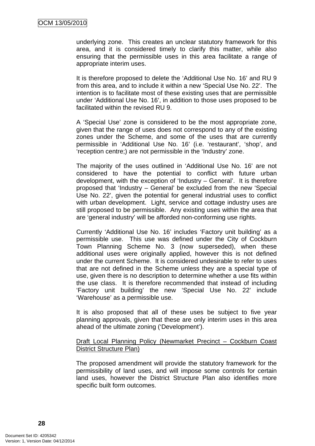underlying zone. This creates an unclear statutory framework for this area, and it is considered timely to clarify this matter, while also ensuring that the permissible uses in this area facilitate a range of appropriate interim uses.

It is therefore proposed to delete the 'Additional Use No. 16' and RU 9 from this area, and to include it within a new 'Special Use No. 22'. The intention is to facilitate most of these existing uses that are permissible under 'Additional Use No. 16', in addition to those uses proposed to be facilitated within the revised RU 9.

A 'Special Use' zone is considered to be the most appropriate zone, given that the range of uses does not correspond to any of the existing zones under the Scheme, and some of the uses that are currently permissible in 'Additional Use No. 16' (i.e. 'restaurant', 'shop', and 'reception centre;) are not permissible in the 'Industry' zone.

The majority of the uses outlined in 'Additional Use No. 16' are not considered to have the potential to conflict with future urban development, with the exception of 'Industry – General'. It is therefore proposed that 'Industry – General' be excluded from the new 'Special Use No. 22', given the potential for general industrial uses to conflict with urban development. Light, service and cottage industry uses are still proposed to be permissible. Any existing uses within the area that are 'general industry' will be afforded non-conforming use rights.

Currently 'Additional Use No. 16' includes 'Factory unit building' as a permissible use. This use was defined under the City of Cockburn Town Planning Scheme No. 3 (now superseded), when these additional uses were originally applied, however this is not defined under the current Scheme. It is considered undesirable to refer to uses that are not defined in the Scheme unless they are a special type of use, given there is no description to determine whether a use fits within the use class. It is therefore recommended that instead of including 'Factory unit building' the new 'Special Use No. 22' include 'Warehouse' as a permissible use.

It is also proposed that all of these uses be subject to five year planning approvals, given that these are only interim uses in this area ahead of the ultimate zoning ('Development').

#### Draft Local Planning Policy (Newmarket Precinct – Cockburn Coast District Structure Plan)

The proposed amendment will provide the statutory framework for the permissibility of land uses, and will impose some controls for certain land uses, however the District Structure Plan also identifies more specific built form outcomes.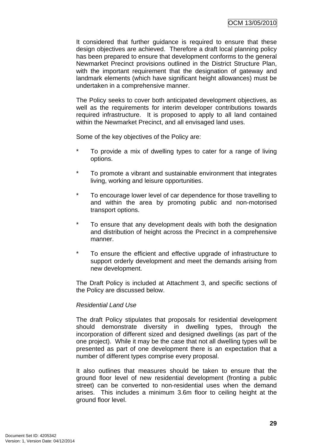It considered that further guidance is required to ensure that these design objectives are achieved. Therefore a draft local planning policy has been prepared to ensure that development conforms to the general Newmarket Precinct provisions outlined in the District Structure Plan, with the important requirement that the designation of gateway and landmark elements (which have significant height allowances) must be undertaken in a comprehensive manner.

The Policy seeks to cover both anticipated development objectives, as well as the requirements for interim developer contributions towards required infrastructure. It is proposed to apply to all land contained within the Newmarket Precinct, and all envisaged land uses.

Some of the key objectives of the Policy are:

- To provide a mix of dwelling types to cater for a range of living options.
- \* To promote a vibrant and sustainable environment that integrates living, working and leisure opportunities.
- \* To encourage lower level of car dependence for those travelling to and within the area by promoting public and non-motorised transport options.
- \* To ensure that any development deals with both the designation and distribution of height across the Precinct in a comprehensive manner.
- \* To ensure the efficient and effective upgrade of infrastructure to support orderly development and meet the demands arising from new development.

The Draft Policy is included at Attachment 3, and specific sections of the Policy are discussed below.

### *Residential Land Use*

The draft Policy stipulates that proposals for residential development should demonstrate diversity in dwelling types, through the incorporation of different sized and designed dwellings (as part of the one project). While it may be the case that not all dwelling types will be presented as part of one development there is an expectation that a number of different types comprise every proposal.

It also outlines that measures should be taken to ensure that the ground floor level of new residential development (fronting a public street) can be converted to non-residential uses when the demand arises. This includes a minimum 3.6m floor to ceiling height at the ground floor level.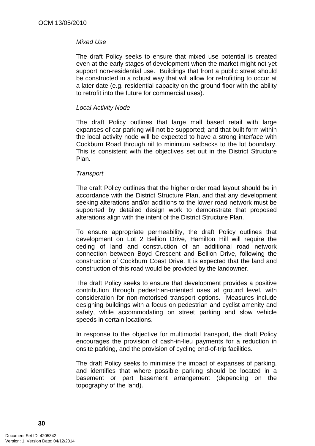### *Mixed Use*

The draft Policy seeks to ensure that mixed use potential is created even at the early stages of development when the market might not yet support non-residential use. Buildings that front a public street should be constructed in a robust way that will allow for retrofitting to occur at a later date (e.g. residential capacity on the ground floor with the ability to retrofit into the future for commercial uses).

### *Local Activity Node*

The draft Policy outlines that large mall based retail with large expanses of car parking will not be supported; and that built form within the local activity node will be expected to have a strong interface with Cockburn Road through nil to minimum setbacks to the lot boundary. This is consistent with the objectives set out in the District Structure Plan.

#### *Transport*

The draft Policy outlines that the higher order road layout should be in accordance with the District Structure Plan, and that any development seeking alterations and/or additions to the lower road network must be supported by detailed design work to demonstrate that proposed alterations align with the intent of the District Structure Plan.

To ensure appropriate permeability, the draft Policy outlines that development on Lot 2 Bellion Drive, Hamilton Hill will require the ceding of land and construction of an additional road network connection between Boyd Crescent and Bellion Drive, following the construction of Cockburn Coast Drive. It is expected that the land and construction of this road would be provided by the landowner.

The draft Policy seeks to ensure that development provides a positive contribution through pedestrian-oriented uses at ground level, with consideration for non-motorised transport options. Measures include designing buildings with a focus on pedestrian and cyclist amenity and safety, while accommodating on street parking and slow vehicle speeds in certain locations.

In response to the objective for multimodal transport, the draft Policy encourages the provision of cash-in-lieu payments for a reduction in onsite parking, and the provision of cycling end-of-trip facilities.

The draft Policy seeks to minimise the impact of expanses of parking, and identifies that where possible parking should be located in a basement or part basement arrangement (depending on the topography of the land).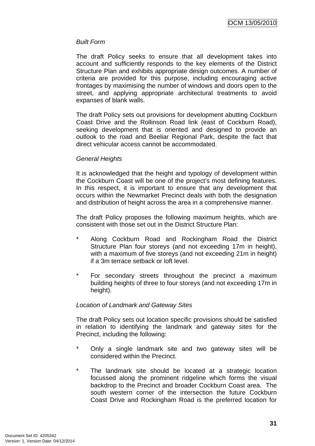### *Built Form*

The draft Policy seeks to ensure that all development takes into account and sufficiently responds to the key elements of the District Structure Plan and exhibits appropriate design outcomes. A number of criteria are provided for this purpose, including encouraging active frontages by maximising the number of windows and doors open to the street, and applying appropriate architectural treatments to avoid expanses of blank walls.

The draft Policy sets out provisions for development abutting Cockburn Coast Drive and the Rollinson Road link (east of Cockburn Road), seeking development that is oriented and designed to provide an outlook to the road and Beeliar Regional Park, despite the fact that direct vehicular access cannot be accommodated.

### *General Heights*

It is acknowledged that the height and typology of development within the Cockburn Coast will be one of the project's most defining features. In this respect, it is important to ensure that any development that occurs within the Newmarket Precinct deals with both the designation and distribution of height across the area in a comprehensive manner.

The draft Policy proposes the following maximum heights, which are consistent with those set out in the District Structure Plan:

- Along Cockburn Road and Rockingham Road the District Structure Plan four storeys (and not exceeding 17m in height), with a maximum of five storeys (and not exceeding 21m in height) if a 3m terrace setback or loft level.
- \* For secondary streets throughout the precinct a maximum building heights of three to four storeys (and not exceeding 17m in height).

# *Location of Landmark and Gateway Sites*

The draft Policy sets out location specific provisions should be satisfied in relation to identifying the landmark and gateway sites for the Precinct, including the following:

- \* Only a single landmark site and two gateway sites will be considered within the Precinct.
- \* The landmark site should be located at a strategic location focussed along the prominent ridgeline which forms the visual backdrop to the Precinct and broader Cockburn Coast area. The south western corner of the intersection the future Cockburn Coast Drive and Rockingham Road is the preferred location for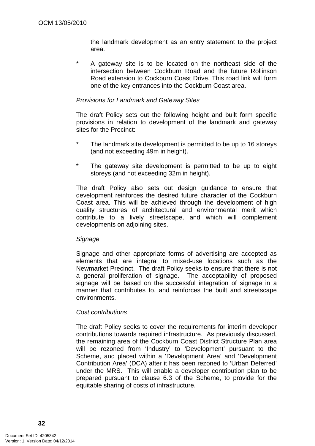the landmark development as an entry statement to the project area.

A gateway site is to be located on the northeast side of the intersection between Cockburn Road and the future Rollinson Road extension to Cockburn Coast Drive. This road link will form one of the key entrances into the Cockburn Coast area.

### *Provisions for Landmark and Gateway Sites*

The draft Policy sets out the following height and built form specific provisions in relation to development of the landmark and gateway sites for the Precinct:

- The landmark site development is permitted to be up to 16 storeys (and not exceeding 49m in height).
- The gateway site development is permitted to be up to eight storeys (and not exceeding 32m in height).

The draft Policy also sets out design guidance to ensure that development reinforces the desired future character of the Cockburn Coast area. This will be achieved through the development of high quality structures of architectural and environmental merit which contribute to a lively streetscape, and which will complement developments on adjoining sites.

#### *Signage*

Signage and other appropriate forms of advertising are accepted as elements that are integral to mixed-use locations such as the Newmarket Precinct. The draft Policy seeks to ensure that there is not a general proliferation of signage. The acceptability of proposed signage will be based on the successful integration of signage in a manner that contributes to, and reinforces the built and streetscape environments.

### *Cost contributions*

The draft Policy seeks to cover the requirements for interim developer contributions towards required infrastructure. As previously discussed, the remaining area of the Cockburn Coast District Structure Plan area will be rezoned from 'Industry' to 'Development' pursuant to the Scheme, and placed within a 'Development Area' and 'Development Contribution Area' (DCA) after it has been rezoned to 'Urban Deferred' under the MRS. This will enable a developer contribution plan to be prepared pursuant to clause 6.3 of the Scheme, to provide for the equitable sharing of costs of infrastructure.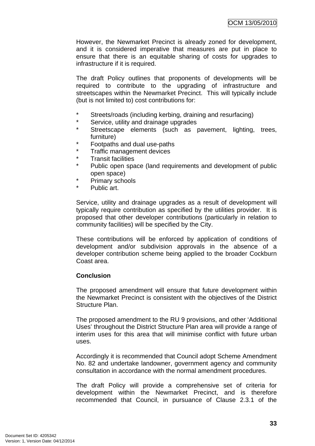However, the Newmarket Precinct is already zoned for development, and it is considered imperative that measures are put in place to ensure that there is an equitable sharing of costs for upgrades to infrastructure if it is required.

The draft Policy outlines that proponents of developments will be required to contribute to the upgrading of infrastructure and streetscapes within the Newmarket Precinct. This will typically include (but is not limited to) cost contributions for:

- \* Streets/roads (including kerbing, draining and resurfacing)
- Service, utility and drainage upgrades
- \* Streetscape elements (such as pavement, lighting, trees, furniture)
- Footpaths and dual use-paths
- Traffic management devices
- \* Transit facilities<br>\* Public open spa
- Public open space (land requirements and development of public open space)
- \* Primary schools
- \* Public art.

Service, utility and drainage upgrades as a result of development will typically require contribution as specified by the utilities provider. It is proposed that other developer contributions (particularly in relation to community facilities) will be specified by the City.

These contributions will be enforced by application of conditions of development and/or subdivision approvals in the absence of a developer contribution scheme being applied to the broader Cockburn Coast area.

# **Conclusion**

The proposed amendment will ensure that future development within the Newmarket Precinct is consistent with the objectives of the District Structure Plan.

The proposed amendment to the RU 9 provisions, and other 'Additional Uses' throughout the District Structure Plan area will provide a range of interim uses for this area that will minimise conflict with future urban uses.

Accordingly it is recommended that Council adopt Scheme Amendment No. 82 and undertake landowner, government agency and community consultation in accordance with the normal amendment procedures.

The draft Policy will provide a comprehensive set of criteria for development within the Newmarket Precinct, and is therefore recommended that Council, in pursuance of Clause 2.3.1 of the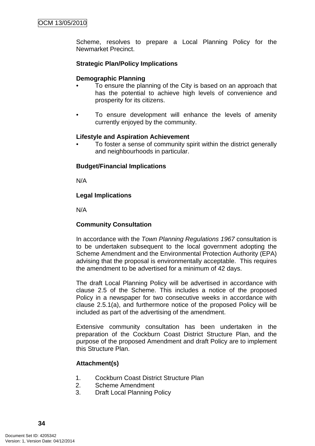Scheme, resolves to prepare a Local Planning Policy for the Newmarket Precinct.

# **Strategic Plan/Policy Implications**

# **Demographic Planning**

- To ensure the planning of the City is based on an approach that has the potential to achieve high levels of convenience and prosperity for its citizens.
- To ensure development will enhance the levels of amenity currently enjoyed by the community.

# **Lifestyle and Aspiration Achievement**

• To foster a sense of community spirit within the district generally and neighbourhoods in particular.

# **Budget/Financial Implications**

N/A

# **Legal Implications**

N/A

# **Community Consultation**

In accordance with the *Town Planning Regulations 1967* consultation is to be undertaken subsequent to the local government adopting the Scheme Amendment and the Environmental Protection Authority (EPA) advising that the proposal is environmentally acceptable. This requires the amendment to be advertised for a minimum of 42 days.

The draft Local Planning Policy will be advertised in accordance with clause 2.5 of the Scheme. This includes a notice of the proposed Policy in a newspaper for two consecutive weeks in accordance with clause 2.5.1(a), and furthermore notice of the proposed Policy will be included as part of the advertising of the amendment.

Extensive community consultation has been undertaken in the preparation of the Cockburn Coast District Structure Plan, and the purpose of the proposed Amendment and draft Policy are to implement this Structure Plan.

# **Attachment(s)**

- 1. Cockburn Coast District Structure Plan
- 2. Scheme Amendment
- 3. Draft Local Planning Policy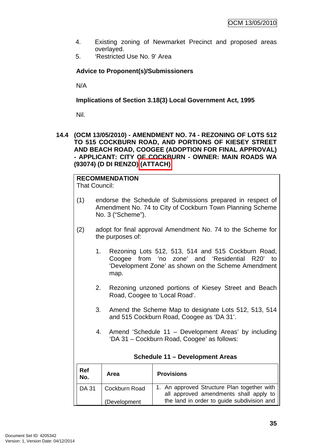- 4. Existing zoning of Newmarket Precinct and proposed areas overlayed.
- 5. 'Restricted Use No. 9' Area

# **Advice to Proponent(s)/Submissioners**

N/A

**Implications of Section 3.18(3) Local Government Act, 1995**

Nil.

**14.4 (OCM 13/05/2010) - AMENDMENT NO. 74 - REZONING OF LOTS 512 TO 515 COCKBURN ROAD, AND PORTIONS OF KIESEY STREET AND BEACH ROAD, COOGEE (ADOPTION FOR FINAL APPROVAL) - APPLICANT: CITY OF COCKBURN - OWNER: MAIN ROADS WA (93074) (D DI RENZO) (ATTACH)** 

**RECOMMENDATION** That Council:

- (1) endorse the Schedule of Submissions prepared in respect of Amendment No. 74 to City of Cockburn Town Planning Scheme No. 3 ("Scheme").
- (2) adopt for final approval Amendment No. 74 to the Scheme for the purposes of:
	- 1. Rezoning Lots 512, 513, 514 and 515 Cockburn Road, Coogee from 'no zone' and 'Residential R20' to 'Development Zone' as shown on the Scheme Amendment map.
	- 2. Rezoning unzoned portions of Kiesey Street and Beach Road, Coogee to 'Local Road'.
	- 3. Amend the Scheme Map to designate Lots 512, 513, 514 and 515 Cockburn Road, Coogee as 'DA 31'.
	- 4. Amend 'Schedule 11 Development Areas' by including 'DA 31 – Cockburn Road, Coogee' as follows:

| Ref<br>No.   | Area          | <b>Provisions</b>                                                                     |
|--------------|---------------|---------------------------------------------------------------------------------------|
| <b>DA 31</b> | Cockburn Road | 1. An approved Structure Plan together with<br>all approved amendments shall apply to |
|              | (Development  | the land in order to guide subdivision and                                            |

# **Schedule 11 – Development Areas**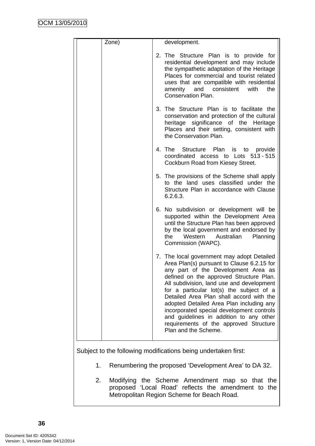| Zone) | development.                                                                                                                                                                                                                                                                                                                                                                                                                                                                                                          |
|-------|-----------------------------------------------------------------------------------------------------------------------------------------------------------------------------------------------------------------------------------------------------------------------------------------------------------------------------------------------------------------------------------------------------------------------------------------------------------------------------------------------------------------------|
|       | 2. The Structure Plan is to provide for<br>residential development and may include<br>the sympathetic adaptation of the Heritage<br>Places for commercial and tourist related<br>uses that are compatible with residential<br>amenity and consistent with<br>the<br><b>Conservation Plan.</b>                                                                                                                                                                                                                         |
|       | 3. The Structure Plan is to facilitate the<br>conservation and protection of the cultural<br>heritage significance of the Heritage<br>Places and their setting, consistent with<br>the Conservation Plan.                                                                                                                                                                                                                                                                                                             |
|       | 4. The Structure Plan is to provide<br>coordinated access to Lots 513 - 515<br>Cockburn Road from Kiesey Street.                                                                                                                                                                                                                                                                                                                                                                                                      |
|       | 5. The provisions of the Scheme shall apply<br>to the land uses classified under the<br>Structure Plan in accordance with Clause<br>6.2.6.3.                                                                                                                                                                                                                                                                                                                                                                          |
|       | 6. No subdivision or development will be<br>supported within the Development Area<br>until the Structure Plan has been approved<br>by the local government and endorsed by<br>Western<br>the<br>Australian<br>Planning<br>Commission (WAPC).                                                                                                                                                                                                                                                                          |
|       | 7. The local government may adopt Detailed<br>Area Plan(s) pursuant to Clause 6.2.15 for<br>any part of the Development Area as<br>defined on the approved Structure Plan.<br>All subdivision, land use and development<br>for a particular lot(s) the subject of a<br>Detailed Area Plan shall accord with the<br>adopted Detailed Area Plan including any<br>incorporated special development controls<br>and guidelines in addition to any other<br>requirements of the approved Structure<br>Plan and the Scheme. |

Subject to the following modifications being undertaken first:

- 1. Renumbering the proposed 'Development Area' to DA 32.
- 2. Modifying the Scheme Amendment map so that the proposed 'Local Road' reflects the amendment to the Metropolitan Region Scheme for Beach Road.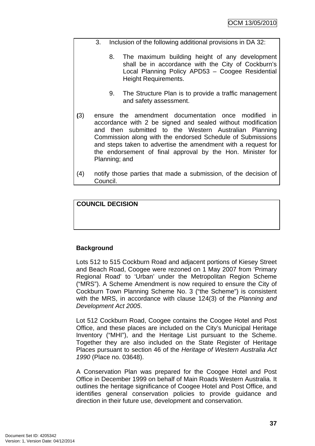- 3. Inclusion of the following additional provisions in DA 32:
	- 8. The maximum building height of any development shall be in accordance with the City of Cockburn's Local Planning Policy APD53 – Coogee Residential Height Requirements.
	- 9. The Structure Plan is to provide a traffic management and safety assessment.
- **(**3) ensure the amendment documentation once modified in accordance with 2 be signed and sealed without modification and then submitted to the Western Australian Planning Commission along with the endorsed Schedule of Submissions and steps taken to advertise the amendment with a request for the endorsement of final approval by the Hon. Minister for Planning; and
- (4) notify those parties that made a submission, of the decision of Council.

# **COUNCIL DECISION**

# **Background**

Lots 512 to 515 Cockburn Road and adjacent portions of Kiesey Street and Beach Road, Coogee were rezoned on 1 May 2007 from 'Primary Regional Road' to 'Urban' under the Metropolitan Region Scheme ("MRS"). A Scheme Amendment is now required to ensure the City of Cockburn Town Planning Scheme No. 3 ("the Scheme") is consistent with the MRS, in accordance with clause 124(3) of the *Planning and Development Act 2005*.

Lot 512 Cockburn Road, Coogee contains the Coogee Hotel and Post Office, and these places are included on the City's Municipal Heritage Inventory ("MHI"), and the Heritage List pursuant to the Scheme. Together they are also included on the State Register of Heritage Places pursuant to section 46 of the *Heritage of Western Australia Act 1990* (Place no. 03648).

A Conservation Plan was prepared for the Coogee Hotel and Post Office in December 1999 on behalf of Main Roads Western Australia. It outlines the heritage significance of Coogee Hotel and Post Office, and identifies general conservation policies to provide guidance and direction in their future use, development and conservation.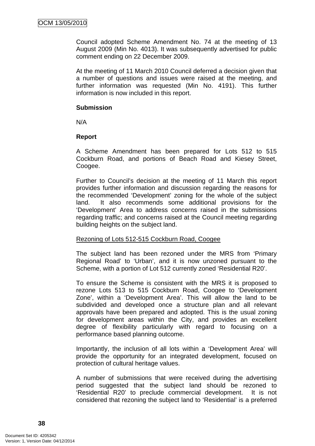Council adopted Scheme Amendment No. 74 at the meeting of 13 August 2009 (Min No. 4013). It was subsequently advertised for public comment ending on 22 December 2009.

At the meeting of 11 March 2010 Council deferred a decision given that a number of questions and issues were raised at the meeting, and further information was requested (Min No. 4191). This further information is now included in this report.

# **Submission**

N/A

# **Report**

A Scheme Amendment has been prepared for Lots 512 to 515 Cockburn Road, and portions of Beach Road and Kiesey Street, Coogee.

Further to Council's decision at the meeting of 11 March this report provides further information and discussion regarding the reasons for the recommended 'Development' zoning for the whole of the subject land. It also recommends some additional provisions for the 'Development' Area to address concerns raised in the submissions regarding traffic; and concerns raised at the Council meeting regarding building heights on the subject land.

# Rezoning of Lots 512-515 Cockburn Road, Coogee

The subject land has been rezoned under the MRS from 'Primary Regional Road' to 'Urban', and it is now unzoned pursuant to the Scheme, with a portion of Lot 512 currently zoned 'Residential R20'.

To ensure the Scheme is consistent with the MRS it is proposed to rezone Lots 513 to 515 Cockburn Road, Coogee to 'Development Zone', within a 'Development Area'. This will allow the land to be subdivided and developed once a structure plan and all relevant approvals have been prepared and adopted. This is the usual zoning for development areas within the City, and provides an excellent degree of flexibility particularly with regard to focusing on a performance based planning outcome.

Importantly, the inclusion of all lots within a 'Development Area' will provide the opportunity for an integrated development, focused on protection of cultural heritage values.

A number of submissions that were received during the advertising period suggested that the subject land should be rezoned to 'Residential R20' to preclude commercial development. It is not considered that rezoning the subject land to 'Residential' is a preferred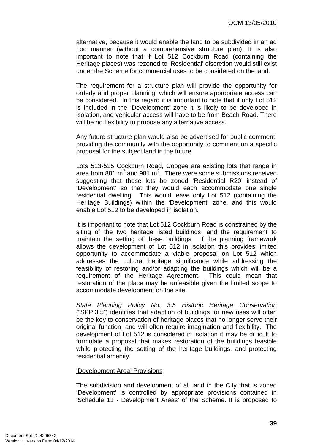alternative, because it would enable the land to be subdivided in an ad hoc manner (without a comprehensive structure plan). It is also important to note that if Lot 512 Cockburn Road (containing the Heritage places) was rezoned to 'Residential' discretion would still exist under the Scheme for commercial uses to be considered on the land.

The requirement for a structure plan will provide the opportunity for orderly and proper planning, which will ensure appropriate access can be considered. In this regard it is important to note that if only Lot 512 is included in the 'Development' zone it is likely to be developed in isolation, and vehicular access will have to be from Beach Road. There will be no flexibility to propose any alternative access.

Any future structure plan would also be advertised for public comment, providing the community with the opportunity to comment on a specific proposal for the subject land in the future.

Lots 513-515 Cockburn Road, Coogee are existing lots that range in area from 881  $m^2$  and 981  $m^2$ . There were some submissions received suggesting that these lots be zoned 'Residential R20' instead of 'Development' so that they would each accommodate one single residential dwelling. This would leave only Lot 512 (containing the Heritage Buildings) within the 'Development' zone, and this would enable Lot 512 to be developed in isolation.

It is important to note that Lot 512 Cockburn Road is constrained by the siting of the two heritage listed buildings, and the requirement to maintain the setting of these buildings. If the planning framework allows the development of Lot 512 in isolation this provides limited opportunity to accommodate a viable proposal on Lot 512 which addresses the cultural heritage significance while addressing the feasibility of restoring and/or adapting the buildings which will be a requirement of the Heritage Agreement. This could mean that restoration of the place may be unfeasible given the limited scope to accommodate development on the site.

*State Planning Policy No. 3.5 Historic Heritage Conservation* ("SPP 3.5") identifies that adaption of buildings for new uses will often be the key to conservation of heritage places that no longer serve their original function, and will often require imagination and flexibility. The development of Lot 512 is considered in isolation it may be difficult to formulate a proposal that makes restoration of the buildings feasible while protecting the setting of the heritage buildings, and protecting residential amenity.

#### 'Development Area' Provisions

The subdivision and development of all land in the City that is zoned 'Development' is controlled by appropriate provisions contained in 'Schedule 11 - Development Areas' of the Scheme. It is proposed to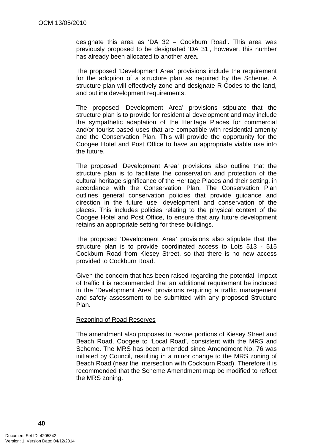designate this area as 'DA 32 – Cockburn Road'. This area was previously proposed to be designated 'DA 31', however, this number has already been allocated to another area.

The proposed 'Development Area' provisions include the requirement for the adoption of a structure plan as required by the Scheme. A structure plan will effectively zone and designate R-Codes to the land, and outline development requirements.

The proposed 'Development Area' provisions stipulate that the structure plan is to provide for residential development and may include the sympathetic adaptation of the Heritage Places for commercial and/or tourist based uses that are compatible with residential amenity and the Conservation Plan. This will provide the opportunity for the Coogee Hotel and Post Office to have an appropriate viable use into the future.

The proposed 'Development Area' provisions also outline that the structure plan is to facilitate the conservation and protection of the cultural heritage significance of the Heritage Places and their setting, in accordance with the Conservation Plan. The Conservation Plan outlines general conservation policies that provide guidance and direction in the future use, development and conservation of the places. This includes policies relating to the physical context of the Coogee Hotel and Post Office, to ensure that any future development retains an appropriate setting for these buildings.

The proposed 'Development Area' provisions also stipulate that the structure plan is to provide coordinated access to Lots 513 - 515 Cockburn Road from Kiesey Street, so that there is no new access provided to Cockburn Road.

Given the concern that has been raised regarding the potential impact of traffic it is recommended that an additional requirement be included in the 'Development Area' provisions requiring a traffic management and safety assessment to be submitted with any proposed Structure Plan.

## Rezoning of Road Reserves

The amendment also proposes to rezone portions of Kiesey Street and Beach Road, Coogee to 'Local Road', consistent with the MRS and Scheme. The MRS has been amended since Amendment No. 76 was initiated by Council, resulting in a minor change to the MRS zoning of Beach Road (near the intersection with Cockburn Road). Therefore it is recommended that the Scheme Amendment map be modified to reflect the MRS zoning.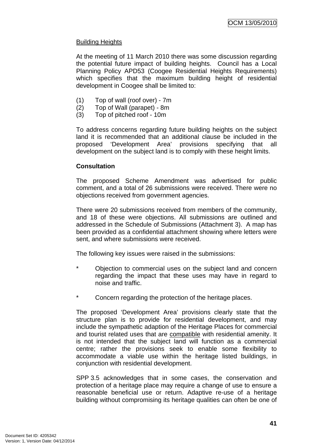# Building Heights

At the meeting of 11 March 2010 there was some discussion regarding the potential future impact of building heights. Council has a Local Planning Policy APD53 (Coogee Residential Heights Requirements) which specifies that the maximum building height of residential development in Coogee shall be limited to:

- (1) Top of wall (roof over) 7m
- (2) Top of Wall (parapet) 8m
- (3) Top of pitched roof 10m

To address concerns regarding future building heights on the subject land it is recommended that an additional clause be included in the proposed 'Development Area' provisions specifying that all development on the subject land is to comply with these height limits.

# **Consultation**

The proposed Scheme Amendment was advertised for public comment, and a total of 26 submissions were received. There were no objections received from government agencies.

There were 20 submissions received from members of the community, and 18 of these were objections. All submissions are outlined and addressed in the Schedule of Submissions (Attachment 3). A map has been provided as a confidential attachment showing where letters were sent, and where submissions were received.

The following key issues were raised in the submissions:

- \* Objection to commercial uses on the subject land and concern regarding the impact that these uses may have in regard to noise and traffic.
- \* Concern regarding the protection of the heritage places.

The proposed 'Development Area' provisions clearly state that the structure plan is to provide for residential development, and may include the sympathetic adaption of the Heritage Places for commercial and tourist related uses that are compatible with residential amenity. It is not intended that the subject land will function as a commercial centre; rather the provisions seek to enable some flexibility to accommodate a viable use within the heritage listed buildings, in conjunction with residential development.

SPP 3.5 acknowledges that in some cases, the conservation and protection of a heritage place may require a change of use to ensure a reasonable beneficial use or return. Adaptive re-use of a heritage building without compromising its heritage qualities can often be one of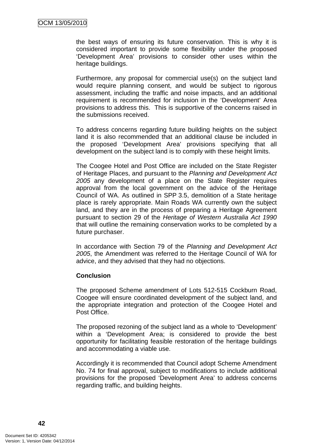the best ways of ensuring its future conservation. This is why it is considered important to provide some flexibility under the proposed 'Development Area' provisions to consider other uses within the heritage buildings.

Furthermore, any proposal for commercial use(s) on the subject land would require planning consent, and would be subject to rigorous assessment, including the traffic and noise impacts, and an additional requirement is recommended for inclusion in the 'Development' Area provisions to address this. This is supportive of the concerns raised in the submissions received.

To address concerns regarding future building heights on the subject land it is also recommended that an additional clause be included in the proposed 'Development Area' provisions specifying that all development on the subject land is to comply with these height limits.

The Coogee Hotel and Post Office are included on the State Register of Heritage Places, and pursuant to the *Planning and Development Act 2005* any development of a place on the State Register requires approval from the local government on the advice of the Heritage Council of WA. As outlined in SPP 3.5, demolition of a State heritage place is rarely appropriate. Main Roads WA currently own the subject land, and they are in the process of preparing a Heritage Agreement pursuant to section 29 of the *Heritage of Western Australia Act 1990* that will outline the remaining conservation works to be completed by a future purchaser.

In accordance with Section 79 of the *Planning and Development Act 2005*, the Amendment was referred to the Heritage Council of WA for advice, and they advised that they had no objections.

# **Conclusion**

The proposed Scheme amendment of Lots 512-515 Cockburn Road, Coogee will ensure coordinated development of the subject land, and the appropriate integration and protection of the Coogee Hotel and Post Office.

The proposed rezoning of the subject land as a whole to 'Development' within a 'Development Area; is considered to provide the best opportunity for facilitating feasible restoration of the heritage buildings and accommodating a viable use.

Accordingly it is recommended that Council adopt Scheme Amendment No. 74 for final approval, subject to modifications to include additional provisions for the proposed 'Development Area' to address concerns regarding traffic, and building heights.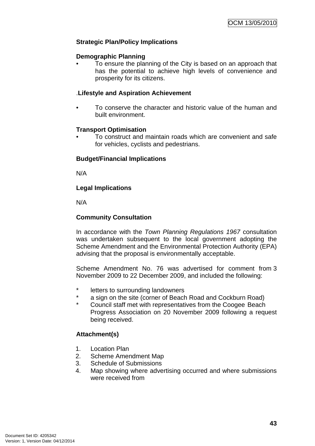# **Strategic Plan/Policy Implications**

## **Demographic Planning**

• To ensure the planning of the City is based on an approach that has the potential to achieve high levels of convenience and prosperity for its citizens.

## .**Lifestyle and Aspiration Achievement**

• To conserve the character and historic value of the human and built environment.

#### **Transport Optimisation**

• To construct and maintain roads which are convenient and safe for vehicles, cyclists and pedestrians.

#### **Budget/Financial Implications**

N/A

# **Legal Implications**

N/A

# **Community Consultation**

In accordance with the *Town Planning Regulations 1967* consultation was undertaken subsequent to the local government adopting the Scheme Amendment and the Environmental Protection Authority (EPA) advising that the proposal is environmentally acceptable.

Scheme Amendment No. 76 was advertised for comment from 3 November 2009 to 22 December 2009, and included the following:

- \* letters to surrounding landowners
- a sign on the site (corner of Beach Road and Cockburn Road)
- Council staff met with representatives from the Coogee Beach Progress Association on 20 November 2009 following a request being received.

# **Attachment(s)**

- 1. Location Plan
- 2. Scheme Amendment Map
- 3. Schedule of Submissions
- 4. Map showing where advertising occurred and where submissions were received from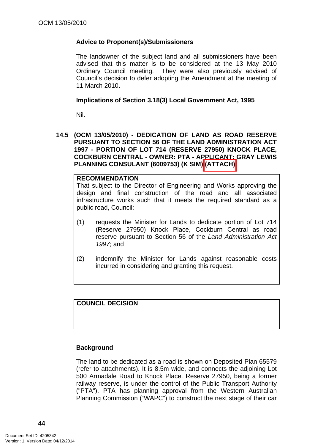# **Advice to Proponent(s)/Submissioners**

The landowner of the subject land and all submissioners have been advised that this matter is to be considered at the 13 May 2010 Ordinary Council meeting. They were also previously advised of Council's decision to defer adopting the Amendment at the meeting of 11 March 2010.

# **Implications of Section 3.18(3) Local Government Act, 1995**

Nil.

**14.5 (OCM 13/05/2010) - DEDICATION OF LAND AS ROAD RESERVE PURSUANT TO SECTION 56 OF THE LAND ADMINISTRATION ACT 1997 - PORTION OF LOT 714 (RESERVE 27950) KNOCK PLACE, COCKBURN CENTRAL - OWNER: PTA - APPLICANT: GRAY LEWIS PLANNING CONSULANT (6009753) (K SIM) (ATTACH)** 

# **RECOMMENDATION**

That subject to the Director of Engineering and Works approving the design and final construction of the road and all associated infrastructure works such that it meets the required standard as a public road, Council:

- (1) requests the Minister for Lands to dedicate portion of Lot 714 (Reserve 27950) Knock Place, Cockburn Central as road reserve pursuant to Section 56 of the *Land Administration Act 1997*; and
- (2) indemnify the Minister for Lands against reasonable costs incurred in considering and granting this request.

# **COUNCIL DECISION**

# **Background**

The land to be dedicated as a road is shown on Deposited Plan 65579 (refer to attachments). It is 8.5m wide, and connects the adjoining Lot 500 Armadale Road to Knock Place. Reserve 27950, being a former railway reserve, is under the control of the Public Transport Authority ("PTA"). PTA has planning approval from the Western Australian Planning Commission ("WAPC") to construct the next stage of their car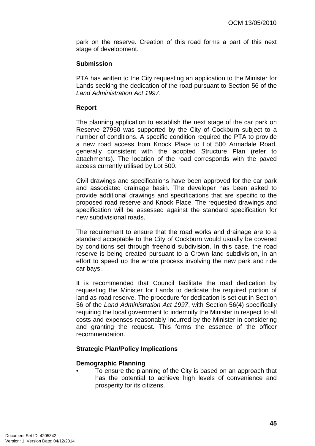park on the reserve. Creation of this road forms a part of this next stage of development.

# **Submission**

PTA has written to the City requesting an application to the Minister for Lands seeking the dedication of the road pursuant to Section 56 of the *Land Administration Act 1997*.

# **Report**

The planning application to establish the next stage of the car park on Reserve 27950 was supported by the City of Cockburn subject to a number of conditions. A specific condition required the PTA to provide a new road access from Knock Place to Lot 500 Armadale Road, generally consistent with the adopted Structure Plan (refer to attachments). The location of the road corresponds with the paved access currently utilised by Lot 500.

Civil drawings and specifications have been approved for the car park and associated drainage basin. The developer has been asked to provide additional drawings and specifications that are specific to the proposed road reserve and Knock Place. The requested drawings and specification will be assessed against the standard specification for new subdivisional roads.

The requirement to ensure that the road works and drainage are to a standard acceptable to the City of Cockburn would usually be covered by conditions set through freehold subdivision. In this case, the road reserve is being created pursuant to a Crown land subdivision, in an effort to speed up the whole process involving the new park and ride car bays.

It is recommended that Council facilitate the road dedication by requesting the Minister for Lands to dedicate the required portion of land as road reserve. The procedure for dedication is set out in Section 56 of the *Land Administration Act 1997*, with Section 56(4) specifically requiring the local government to indemnify the Minister in respect to all costs and expenses reasonably incurred by the Minister in considering and granting the request. This forms the essence of the officer recommendation.

# **Strategic Plan/Policy Implications**

#### **Demographic Planning**

• To ensure the planning of the City is based on an approach that has the potential to achieve high levels of convenience and prosperity for its citizens.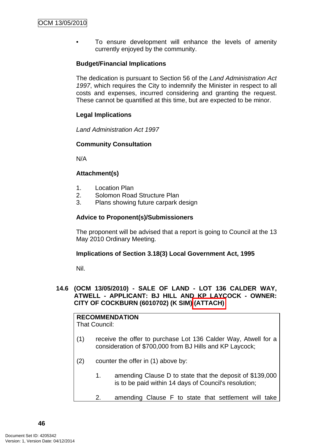To ensure development will enhance the levels of amenity currently enjoyed by the community.

# **Budget/Financial Implications**

The dedication is pursuant to Section 56 of the *Land Administration Act*  1997, which requires the City to indemnify the Minister in respect to all costs and expenses, incurred considering and granting the request. These cannot be quantified at this time, but are expected to be minor.

# **Legal Implications**

*Land Administration Act 1997* 

# **Community Consultation**

N/A

# **Attachment(s)**

- 1. Location Plan
- 2. Solomon Road Structure Plan
- 3. Plans showing future carpark design

# **Advice to Proponent(s)/Submissioners**

The proponent will be advised that a report is going to Council at the 13 May 2010 Ordinary Meeting.

# **Implications of Section 3.18(3) Local Government Act, 1995**

Nil.

# **14.6 (OCM 13/05/2010) - SALE OF LAND - LOT 136 CALDER WAY, ATWELL - APPLICANT: BJ HILL AND KP LAYCOCK - OWNER: CITY OF COCKBURN (6010702) (K SIM) (ATTACH)**

**RECOMMENDATION** That Council:

- (1) receive the offer to purchase Lot 136 Calder Way, Atwell for a consideration of \$700,000 from BJ Hills and KP Laycock;
- (2) counter the offer in (1) above by:
	- 1. amending Clause D to state that the deposit of \$139,000 is to be paid within 14 days of Council's resolution;
	- 2. amending Clause F to state that settlement will take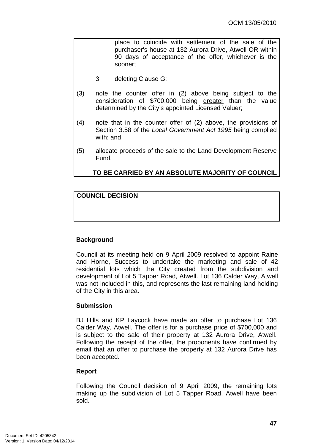place to coincide with settlement of the sale of the purchaser's house at 132 Aurora Drive, Atwell OR within 90 days of acceptance of the offer, whichever is the sooner;

- 3. deleting Clause G;
- (3) note the counter offer in (2) above being subject to the consideration of \$700,000 being greater than the value determined by the City's appointed Licensed Valuer;
- (4) note that in the counter offer of (2) above, the provisions of Section 3.58 of the *Local Government Act 1995* being complied with; and
- (5) allocate proceeds of the sale to the Land Development Reserve Fund.

# **TO BE CARRIED BY AN ABSOLUTE MAJORITY OF COUNCIL**

# **COUNCIL DECISION**

# **Background**

Council at its meeting held on 9 April 2009 resolved to appoint Raine and Horne, Success to undertake the marketing and sale of 42 residential lots which the City created from the subdivision and development of Lot 5 Tapper Road, Atwell. Lot 136 Calder Way, Atwell was not included in this, and represents the last remaining land holding of the City in this area.

# **Submission**

BJ Hills and KP Laycock have made an offer to purchase Lot 136 Calder Way, Atwell. The offer is for a purchase price of \$700,000 and is subject to the sale of their property at 132 Aurora Drive, Atwell. Following the receipt of the offer, the proponents have confirmed by email that an offer to purchase the property at 132 Aurora Drive has been accepted.

# **Report**

Following the Council decision of 9 April 2009, the remaining lots making up the subdivision of Lot 5 Tapper Road, Atwell have been sold.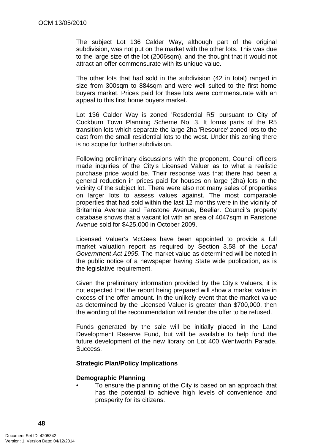The subject Lot 136 Calder Way, although part of the original subdivision, was not put on the market with the other lots. This was due to the large size of the lot (2006sqm), and the thought that it would not attract an offer commensurate with its unique value.

The other lots that had sold in the subdivision (42 in total) ranged in size from 300sqm to 884sqm and were well suited to the first home buyers market. Prices paid for these lots were commensurate with an appeal to this first home buyers market.

Lot 136 Calder Way is zoned 'Resdential R5' pursuant to City of Cockburn Town Planning Scheme No. 3. It forms parts of the R5 transition lots which separate the large 2ha 'Resource' zoned lots to the east from the small residential lots to the west. Under this zoning there is no scope for further subdivision.

Following preliminary discussions with the proponent, Council officers made inquiries of the City's Licensed Valuer as to what a realistic purchase price would be. Their response was that there had been a general reduction in prices paid for houses on large (2ha) lots in the vicinity of the subject lot. There were also not many sales of properties on larger lots to assess values against. The most comparable properties that had sold within the last 12 months were in the vicinity of Britannia Avenue and Fanstone Avenue, Beeliar. Council's property database shows that a vacant lot with an area of 4047sqm in Fanstone Avenue sold for \$425,000 in October 2009.

Licensed Valuer's McGees have been appointed to provide a full market valuation report as required by Section 3.58 of the *Local Government Act 1995*. The market value as determined will be noted in the public notice of a newspaper having State wide publication, as is the legislative requirement.

Given the preliminary information provided by the City's Valuers, it is not expected that the report being prepared will show a market value in excess of the offer amount. In the unlikely event that the market value as determined by the Licensed Valuer is greater than \$700,000, then the wording of the recommendation will render the offer to be refused.

Funds generated by the sale will be initially placed in the Land Development Reserve Fund, but will be available to help fund the future development of the new library on Lot 400 Wentworth Parade, Success.

# **Strategic Plan/Policy Implications**

#### **Demographic Planning**

• To ensure the planning of the City is based on an approach that has the potential to achieve high levels of convenience and prosperity for its citizens.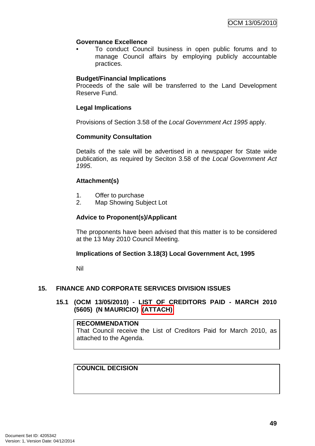# **Governance Excellence**

• To conduct Council business in open public forums and to manage Council affairs by employing publicly accountable practices.

# **Budget/Financial Implications**

Proceeds of the sale will be transferred to the Land Development Reserve Fund.

# **Legal Implications**

Provisions of Section 3.58 of the *Local Government Act 1995* apply.

# **Community Consultation**

Details of the sale will be advertised in a newspaper for State wide publication, as required by Seciton 3.58 of the *Local Government Act 1995*.

# **Attachment(s)**

- 1. Offer to purchase
- 2. Map Showing Subject Lot

# **Advice to Proponent(s)/Applicant**

The proponents have been advised that this matter is to be considered at the 13 May 2010 Council Meeting.

# **Implications of Section 3.18(3) Local Government Act, 1995**

Nil

# **15. FINANCE AND CORPORATE SERVICES DIVISION ISSUES**

# **15.1 (OCM 13/05/2010) - LIST OF CREDITORS PAID - MARCH 2010 (5605) (N MAURICIO) (ATTACH)**

#### **RECOMMENDATION**

That Council receive the List of Creditors Paid for March 2010, as attached to the Agenda.

# **COUNCIL DECISION**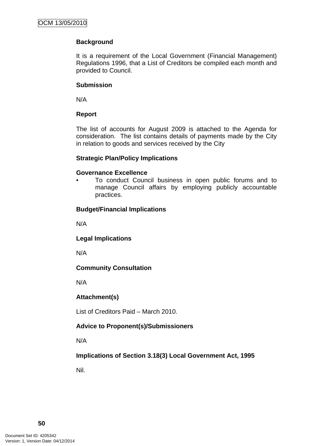# **Background**

It is a requirement of the Local Government (Financial Management) Regulations 1996, that a List of Creditors be compiled each month and provided to Council.

# **Submission**

N/A

# **Report**

The list of accounts for August 2009 is attached to the Agenda for consideration. The list contains details of payments made by the City in relation to goods and services received by the City

# **Strategic Plan/Policy Implications**

# **Governance Excellence**

• To conduct Council business in open public forums and to manage Council affairs by employing publicly accountable practices.

# **Budget/Financial Implications**

N/A

**Legal Implications** 

N/A

# **Community Consultation**

N/A

# **Attachment(s)**

List of Creditors Paid – March 2010.

# **Advice to Proponent(s)/Submissioners**

N/A

**Implications of Section 3.18(3) Local Government Act, 1995**

Nil.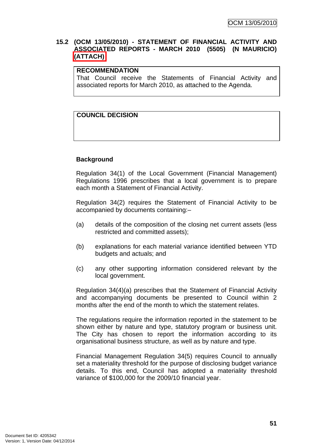# **15.2 (OCM 13/05/2010) - STATEMENT OF FINANCIAL ACTIVITY AND ASSOCIATED REPORTS - MARCH 2010 (5505) (N MAURICIO) (ATTACH)**

# **RECOMMENDATION**

That Council receive the Statements of Financial Activity and associated reports for March 2010, as attached to the Agenda.

# **COUNCIL DECISION**

# **Background**

Regulation 34(1) of the Local Government (Financial Management) Regulations 1996 prescribes that a local government is to prepare each month a Statement of Financial Activity.

Regulation 34(2) requires the Statement of Financial Activity to be accompanied by documents containing:–

- (a) details of the composition of the closing net current assets (less restricted and committed assets);
- (b) explanations for each material variance identified between YTD budgets and actuals; and
- (c) any other supporting information considered relevant by the local government.

Regulation 34(4)(a) prescribes that the Statement of Financial Activity and accompanying documents be presented to Council within 2 months after the end of the month to which the statement relates.

The regulations require the information reported in the statement to be shown either by nature and type, statutory program or business unit. The City has chosen to report the information according to its organisational business structure, as well as by nature and type.

Financial Management Regulation 34(5) requires Council to annually set a materiality threshold for the purpose of disclosing budget variance details. To this end, Council has adopted a materiality threshold variance of \$100,000 for the 2009/10 financial year.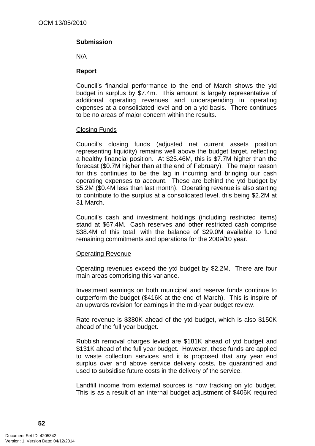# **Submission**

N/A

#### **Report**

Council's financial performance to the end of March shows the ytd budget in surplus by \$7.4m. This amount is largely representative of additional operating revenues and underspending in operating expenses at a consolidated level and on a ytd basis. There continues to be no areas of major concern within the results.

#### Closing Funds

Council's closing funds (adjusted net current assets position representing liquidity) remains well above the budget target, reflecting a healthy financial position. At \$25.46M, this is \$7.7M higher than the forecast (\$0.7M higher than at the end of February). The major reason for this continues to be the lag in incurring and bringing our cash operating expenses to account. These are behind the ytd budget by \$5.2M (\$0.4M less than last month). Operating revenue is also starting to contribute to the surplus at a consolidated level, this being \$2.2M at 31 March.

Council's cash and investment holdings (including restricted items) stand at \$67.4M. Cash reserves and other restricted cash comprise \$38.4M of this total, with the balance of \$29.0M available to fund remaining commitments and operations for the 2009/10 year.

# Operating Revenue

Operating revenues exceed the ytd budget by \$2.2M. There are four main areas comprising this variance.

Investment earnings on both municipal and reserve funds continue to outperform the budget (\$416K at the end of March). This is inspire of an upwards revision for earnings in the mid-year budget review.

Rate revenue is \$380K ahead of the ytd budget, which is also \$150K ahead of the full year budget.

Rubbish removal charges levied are \$181K ahead of ytd budget and \$131K ahead of the full year budget. However, these funds are applied to waste collection services and it is proposed that any year end surplus over and above service delivery costs, be quarantined and used to subsidise future costs in the delivery of the service.

Landfill income from external sources is now tracking on ytd budget. This is as a result of an internal budget adjustment of \$406K required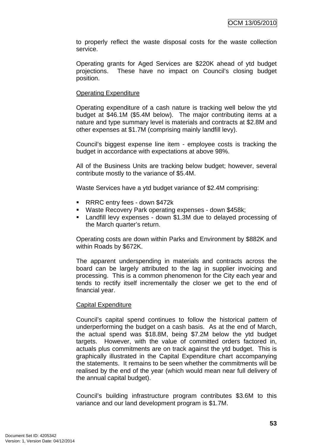to properly reflect the waste disposal costs for the waste collection service.

Operating grants for Aged Services are \$220K ahead of ytd budget projections. These have no impact on Council's closing budget position.

#### Operating Expenditure

Operating expenditure of a cash nature is tracking well below the ytd budget at \$46.1M (\$5.4M below). The major contributing items at a nature and type summary level is materials and contracts at \$2.8M and other expenses at \$1.7M (comprising mainly landfill levy).

Council's biggest expense line item - employee costs is tracking the budget in accordance with expectations at above 98%.

All of the Business Units are tracking below budget; however, several contribute mostly to the variance of \$5.4M.

Waste Services have a ytd budget variance of \$2.4M comprising:

- RRRC entry fees down \$472k
- Waste Recovery Park operating expenses down \$458k;
- Landfill levy expenses down \$1.3M due to delayed processing of the March quarter's return.

Operating costs are down within Parks and Environment by \$882K and within Roads by \$672K.

The apparent underspending in materials and contracts across the board can be largely attributed to the lag in supplier invoicing and processing. This is a common phenomenon for the City each year and tends to rectify itself incrementally the closer we get to the end of financial year.

# Capital Expenditure

Council's capital spend continues to follow the historical pattern of underperforming the budget on a cash basis. As at the end of March, the actual spend was \$18.8M, being \$7.2M below the ytd budget targets. However, with the value of committed orders factored in, actuals plus commitments are on track against the ytd budget. This is graphically illustrated in the Capital Expenditure chart accompanying the statements. It remains to be seen whether the commitments will be realised by the end of the year (which would mean near full delivery of the annual capital budget).

Council's building infrastructure program contributes \$3.6M to this variance and our land development program is \$1.7M.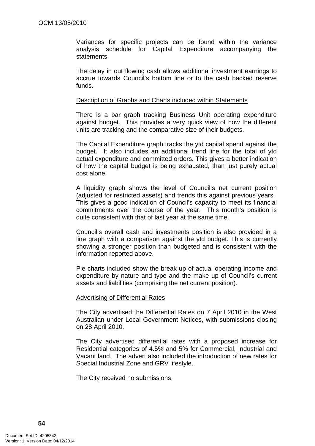Variances for specific projects can be found within the variance analysis schedule for Capital Expenditure accompanying the statements.

The delay in out flowing cash allows additional investment earnings to accrue towards Council's bottom line or to the cash backed reserve funds.

#### Description of Graphs and Charts included within Statements

There is a bar graph tracking Business Unit operating expenditure against budget. This provides a very quick view of how the different units are tracking and the comparative size of their budgets.

The Capital Expenditure graph tracks the ytd capital spend against the budget. It also includes an additional trend line for the total of ytd actual expenditure and committed orders. This gives a better indication of how the capital budget is being exhausted, than just purely actual cost alone.

A liquidity graph shows the level of Council's net current position (adjusted for restricted assets) and trends this against previous years. This gives a good indication of Council's capacity to meet its financial commitments over the course of the year. This month's position is quite consistent with that of last year at the same time.

Council's overall cash and investments position is also provided in a line graph with a comparison against the ytd budget. This is currently showing a stronger position than budgeted and is consistent with the information reported above.

Pie charts included show the break up of actual operating income and expenditure by nature and type and the make up of Council's current assets and liabilities (comprising the net current position).

#### Advertising of Differential Rates

The City advertised the Differential Rates on 7 April 2010 in the West Australian under Local Government Notices, with submissions closing on 28 April 2010.

The City advertised differential rates with a proposed increase for Residential categories of 4.5% and 5% for Commercial, Industrial and Vacant land. The advert also included the introduction of new rates for Special Industrial Zone and GRV lifestyle.

The City received no submissions.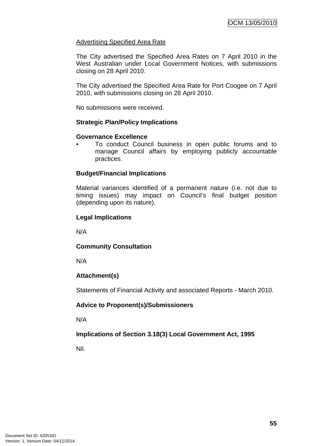# Advertising Specified Area Rate

The City advertised the Specified Area Rates on 7 April 2010 in the West Australian under Local Government Notices, with submissions closing on 28 April 2010.

The City advertised the Specified Area Rate for Port Coogee on 7 April 2010, with submissions closing on 28 April 2010.

No submissions were received.

# **Strategic Plan/Policy Implications**

# **Governance Excellence**

• To conduct Council business in open public forums and to manage Council affairs by employing publicly accountable practices.

# **Budget/Financial Implications**

Material variances identified of a permanent nature (i.e. not due to timing issues) may impact on Council's final budget position (depending upon its nature).

# **Legal Implications**

N/A

# **Community Consultation**

N/A

# **Attachment(s)**

Statements of Financial Activity and associated Reports - March 2010.

# **Advice to Proponent(s)/Submissioners**

N/A

# **Implications of Section 3.18(3) Local Government Act, 1995**

Nil.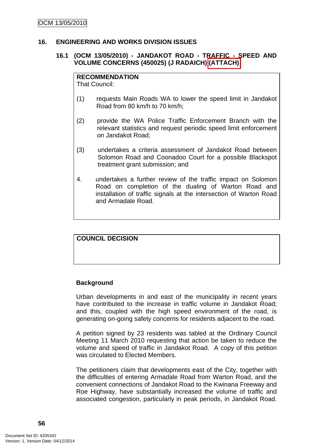## **16. ENGINEERING AND WORKS DIVISION ISSUES**

# **16.1 (OCM 13/05/2010) - JANDAKOT ROAD - TRAFFIC - SPEED AND VOLUME CONCERNS (450025) (J RADAICH) (ATTACH)**

#### **RECOMMENDATION**

That Council:

- (1) requests Main Roads WA to lower the speed limit in Jandakot Road from 80 km/h to 70 km/h;
- (2) provide the WA Police Traffic Enforcement Branch with the relevant statistics and request periodic speed limit enforcement on Jandakot Road;
- (3) undertakes a criteria assessment of Jandakot Road between Solomon Road and Coonadoo Court for a possible Blackspot treatment grant submission; and
- 4. undertakes a further review of the traffic impact on Solomon Road on completion of the dualing of Warton Road and installation of traffic signals at the intersection of Warton Road and Armadale Road.

# **COUNCIL DECISION**

# **Background**

Urban developments in and east of the municipality in recent years have contributed to the increase in traffic volume in Jandakot Road; and this, coupled with the high speed environment of the road, is generating on-going safety concerns for residents adjacent to the road.

A petition signed by 23 residents was tabled at the Ordinary Council Meeting 11 March 2010 requesting that action be taken to reduce the volume and speed of traffic in Jandakot Road. A copy of this petition was circulated to Elected Members.

The petitioners claim that developments east of the City, together with the difficulties of entering Armadale Road from Warton Road, and the convenient connections of Jandakot Road to the Kwinana Freeway and Roe Highway, have substantially increased the volume of traffic and associated congestion, particularly in peak periods, in Jandakot Road.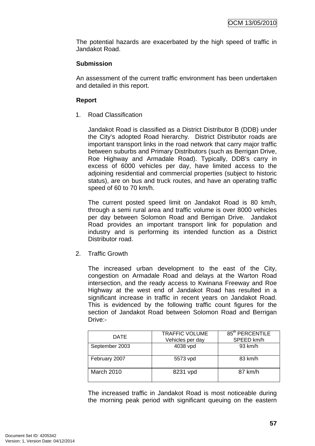The potential hazards are exacerbated by the high speed of traffic in Jandakot Road.

# **Submission**

An assessment of the current traffic environment has been undertaken and detailed in this report.

# **Report**

1. Road Classification

Jandakot Road is classified as a District Distributor B (DDB) under the City's adopted Road hierarchy. District Distributor roads are important transport links in the road network that carry major traffic between suburbs and Primary Distributors (such as Berrigan Drive, Roe Highway and Armadale Road). Typically, DDB's carry in excess of 6000 vehicles per day, have limited access to the adjoining residential and commercial properties (subject to historic status), are on bus and truck routes, and have an operating traffic speed of 60 to 70 km/h.

The current posted speed limit on Jandakot Road is 80 km/h, through a semi rural area and traffic volume is over 8000 vehicles per day between Solomon Road and Berrigan Drive. Jandakot Road provides an important transport link for population and industry and is performing its intended function as a District Distributor road.

2. Traffic Growth

The increased urban development to the east of the City, congestion on Armadale Road and delays at the Warton Road intersection, and the ready access to Kwinana Freeway and Roe Highway at the west end of Jandakot Road has resulted in a significant increase in traffic in recent years on Jandakot Road. This is evidenced by the following traffic count figures for the section of Jandakot Road between Solomon Road and Berrigan Drive:-

| <b>DATE</b>    | <b>TRAFFIC VOLUME</b><br>Vehicles per day | 85 <sup>th</sup> PERCENTILE<br>SPEED km/h |
|----------------|-------------------------------------------|-------------------------------------------|
| September 2003 | 4038 vpd                                  | 93 km/h                                   |
| February 2007  | 5573 vpd                                  | 83 km/h                                   |
| March 2010     | 8231 vpd                                  | 87 km/h                                   |

The increased traffic in Jandakot Road is most noticeable during the morning peak period with significant queuing on the eastern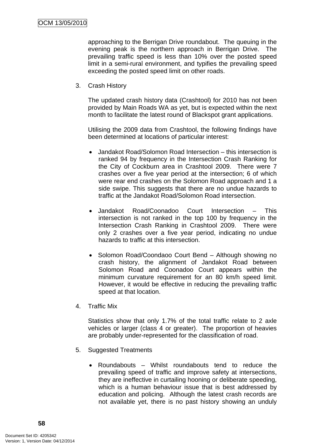approaching to the Berrigan Drive roundabout. The queuing in the evening peak is the northern approach in Berrigan Drive. The prevailing traffic speed is less than 10% over the posted speed limit in a semi-rural environment, and typifies the prevailing speed exceeding the posted speed limit on other roads.

3. Crash History

The updated crash history data (Crashtool) for 2010 has not been provided by Main Roads WA as yet, but is expected within the next month to facilitate the latest round of Blackspot grant applications.

Utilising the 2009 data from Crashtool, the following findings have been determined at locations of particular interest:

- Jandakot Road/Solomon Road Intersection this intersection is ranked 94 by frequency in the Intersection Crash Ranking for the City of Cockburn area in Crashtool 2009. There were 7 crashes over a five year period at the intersection; 6 of which were rear end crashes on the Solomon Road approach and 1 a side swipe. This suggests that there are no undue hazards to traffic at the Jandakot Road/Solomon Road intersection.
- Jandakot Road/Coonadoo Court Intersection This intersection is not ranked in the top 100 by frequency in the Intersection Crash Ranking in Crashtool 2009. There were only 2 crashes over a five year period, indicating no undue hazards to traffic at this intersection.
- Solomon Road/Coondaoo Court Bend Although showing no crash history, the alignment of Jandakot Road between Solomon Road and Coonadoo Court appears within the minimum curvature requirement for an 80 km/h speed limit. However, it would be effective in reducing the prevailing traffic speed at that location.
- 4. Traffic Mix

Statistics show that only 1.7% of the total traffic relate to 2 axle vehicles or larger (class 4 or greater). The proportion of heavies are probably under-represented for the classification of road.

- 5. Suggested Treatments
	- Roundabouts Whilst roundabouts tend to reduce the prevailing speed of traffic and improve safety at intersections, they are ineffective in curtailing hooning or deliberate speeding, which is a human behaviour issue that is best addressed by education and policing. Although the latest crash records are not available yet, there is no past history showing an unduly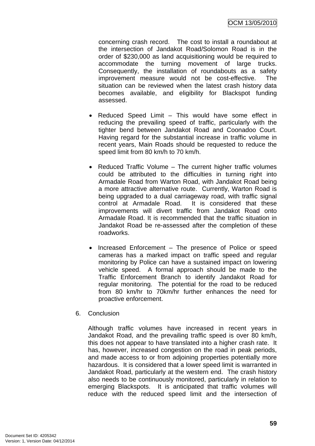concerning crash record. The cost to install a roundabout at the intersection of Jandakot Road/Solomon Road is in the order of \$230,000 as land acquisitioning would be required to accommodate the turning movement of large trucks. Consequently, the installation of roundabouts as a safety improvement measure would not be cost-effective. The situation can be reviewed when the latest crash history data becomes available, and eligibility for Blackspot funding assessed.

- Reduced Speed Limit This would have some effect in reducing the prevailing speed of traffic, particularly with the tighter bend between Jandakot Road and Coonadoo Court. Having regard for the substantial increase in traffic volume in recent years, Main Roads should be requested to reduce the speed limit from 80 km/h to 70 km/h.
- Reduced Traffic Volume The current higher traffic volumes could be attributed to the difficulties in turning right into Armadale Road from Warton Road, with Jandakot Road being a more attractive alternative route. Currently, Warton Road is being upgraded to a dual carriageway road, with traffic signal control at Armadale Road. It is considered that these improvements will divert traffic from Jandakot Road onto Armadale Road. It is recommended that the traffic situation in Jandakot Road be re-assessed after the completion of these roadworks.
- Increased Enforcement The presence of Police or speed cameras has a marked impact on traffic speed and regular monitoring by Police can have a sustained impact on lowering vehicle speed. A formal approach should be made to the Traffic Enforcement Branch to identify Jandakot Road for regular monitoring. The potential for the road to be reduced from 80 km/hr to 70km/hr further enhances the need for proactive enforcement.
- 6. Conclusion

Although traffic volumes have increased in recent years in Jandakot Road, and the prevailing traffic speed is over 80 km/h, this does not appear to have translated into a higher crash rate. It has, however, increased congestion on the road in peak periods, and made access to or from adjoining properties potentially more hazardous. It is considered that a lower speed limit is warranted in Jandakot Road, particularly at the western end. The crash history also needs to be continuously monitored, particularly in relation to emerging Blackspots. It is anticipated that traffic volumes will reduce with the reduced speed limit and the intersection of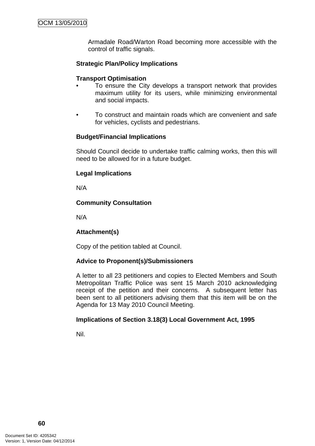Armadale Road/Warton Road becoming more accessible with the control of traffic signals.

# **Strategic Plan/Policy Implications**

## **Transport Optimisation**

- To ensure the City develops a transport network that provides maximum utility for its users, while minimizing environmental and social impacts.
- To construct and maintain roads which are convenient and safe for vehicles, cyclists and pedestrians.

# **Budget/Financial Implications**

Should Council decide to undertake traffic calming works, then this will need to be allowed for in a future budget.

#### **Legal Implications**

N/A

# **Community Consultation**

N/A

# **Attachment(s)**

Copy of the petition tabled at Council.

# **Advice to Proponent(s)/Submissioners**

A letter to all 23 petitioners and copies to Elected Members and South Metropolitan Traffic Police was sent 15 March 2010 acknowledging receipt of the petition and their concerns. A subsequent letter has been sent to all petitioners advising them that this item will be on the Agenda for 13 May 2010 Council Meeting.

# **Implications of Section 3.18(3) Local Government Act, 1995**

Nil.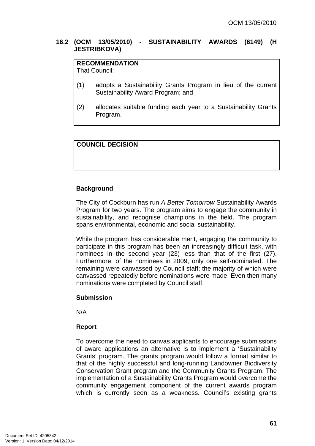# **16.2 (OCM 13/05/2010) - SUSTAINABILITY AWARDS (6149) (H JESTRIBKOVA)**

# **RECOMMENDATION**

That Council:

- (1) adopts a Sustainability Grants Program in lieu of the current Sustainability Award Program; and
- (2) allocates suitable funding each year to a Sustainability Grants Program.

# **COUNCIL DECISION**

# **Background**

The City of Cockburn has run *A Better Tomorrow* Sustainability Awards Program for two years. The program aims to engage the community in sustainability, and recognise champions in the field. The program spans environmental, economic and social sustainability.

While the program has considerable merit, engaging the community to participate in this program has been an increasingly difficult task, with nominees in the second year (23) less than that of the first (27). Furthermore, of the nominees in 2009, only one self-nominated. The remaining were canvassed by Council staff; the majority of which were canvassed repeatedly before nominations were made. Even then many nominations were completed by Council staff.

# **Submission**

N/A

# **Report**

To overcome the need to canvas applicants to encourage submissions of award applications an alternative is to implement a 'Sustainability Grants' program. The grants program would follow a format similar to that of the highly successful and long-running Landowner Biodiversity Conservation Grant program and the Community Grants Program. The implementation of a Sustainability Grants Program would overcome the community engagement component of the current awards program which is currently seen as a weakness. Council's existing grants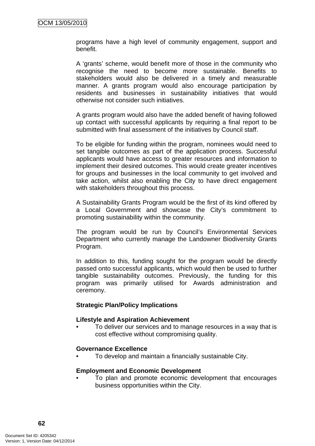programs have a high level of community engagement, support and benefit.

A 'grants' scheme, would benefit more of those in the community who recognise the need to become more sustainable. Benefits to stakeholders would also be delivered in a timely and measurable manner. A grants program would also encourage participation by residents and businesses in sustainability initiatives that would otherwise not consider such initiatives.

A grants program would also have the added benefit of having followed up contact with successful applicants by requiring a final report to be submitted with final assessment of the initiatives by Council staff.

To be eligible for funding within the program, nominees would need to set tangible outcomes as part of the application process. Successful applicants would have access to greater resources and information to implement their desired outcomes. This would create greater incentives for groups and businesses in the local community to get involved and take action, whilst also enabling the City to have direct engagement with stakeholders throughout this process.

A Sustainability Grants Program would be the first of its kind offered by a Local Government and showcase the City's commitment to promoting sustainability within the community.

The program would be run by Council's Environmental Services Department who currently manage the Landowner Biodiversity Grants Program.

In addition to this, funding sought for the program would be directly passed onto successful applicants, which would then be used to further tangible sustainability outcomes. Previously, the funding for this program was primarily utilised for Awards administration and ceremony.

# **Strategic Plan/Policy Implications**

#### **Lifestyle and Aspiration Achievement**

• To deliver our services and to manage resources in a way that is cost effective without compromising quality.

# **Governance Excellence**

• To develop and maintain a financially sustainable City.

#### **Employment and Economic Development**

• To plan and promote economic development that encourages business opportunities within the City.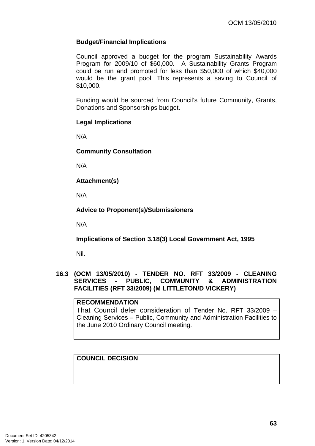# **Budget/Financial Implications**

Council approved a budget for the program Sustainability Awards Program for 2009/10 of \$60,000. A Sustainability Grants Program could be run and promoted for less than \$50,000 of which \$40,000 would be the grant pool. This represents a saving to Council of \$10,000.

Funding would be sourced from Council's future Community, Grants, Donations and Sponsorships budget.

# **Legal Implications**

N/A

# **Community Consultation**

N/A

**Attachment(s)**

N/A

# **Advice to Proponent(s)/Submissioners**

N/A

**Implications of Section 3.18(3) Local Government Act, 1995**

Nil.

# **16.3 (OCM 13/05/2010) - TENDER NO. RFT 33/2009 - CLEANING SERVICES - PUBLIC, COMMUNITY & ADMINISTRATION FACILITIES (RFT 33/2009) (M LITTLETON/D VICKERY)**

# **RECOMMENDATION**

That Council defer consideration of Tender No. RFT 33/2009 – Cleaning Services – Public, Community and Administration Facilities to the June 2010 Ordinary Council meeting.

# **COUNCIL DECISION**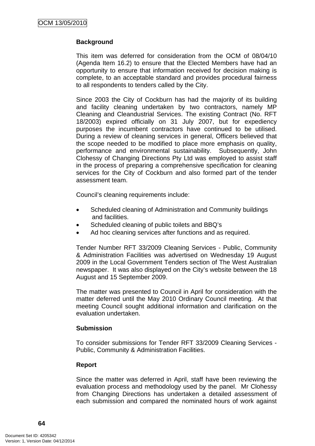# **Background**

This item was deferred for consideration from the OCM of 08/04/10 (Agenda Item 16.2) to ensure that the Elected Members have had an opportunity to ensure that information received for decision making is complete, to an acceptable standard and provides procedural fairness to all respondents to tenders called by the City.

Since 2003 the City of Cockburn has had the majority of its building and facility cleaning undertaken by two contractors, namely MP Cleaning and Cleandustrial Services. The existing Contract (No. RFT 18/2003) expired officially on 31 July 2007, but for expediency purposes the incumbent contractors have continued to be utilised. During a review of cleaning services in general, Officers believed that the scope needed to be modified to place more emphasis on quality, performance and environmental sustainability. Subsequently, John Clohessy of Changing Directions Pty Ltd was employed to assist staff in the process of preparing a comprehensive specification for cleaning services for the City of Cockburn and also formed part of the tender assessment team.

Council's cleaning requirements include:

- Scheduled cleaning of Administration and Community buildings and facilities.
- Scheduled cleaning of public toilets and BBQ's
- Ad hoc cleaning services after functions and as required.

Tender Number RFT 33/2009 Cleaning Services - Public, Community & Administration Facilities was advertised on Wednesday 19 August 2009 in the Local Government Tenders section of The West Australian newspaper. It was also displayed on the City's website between the 18 August and 15 September 2009.

The matter was presented to Council in April for consideration with the matter deferred until the May 2010 Ordinary Council meeting. At that meeting Council sought additional information and clarification on the evaluation undertaken.

#### **Submission**

To consider submissions for Tender RFT 33/2009 Cleaning Services - Public, Community & Administration Facilities.

# **Report**

Since the matter was deferred in April, staff have been reviewing the evaluation process and methodology used by the panel. Mr Clohessy from Changing Directions has undertaken a detailed assessment of each submission and compared the nominated hours of work against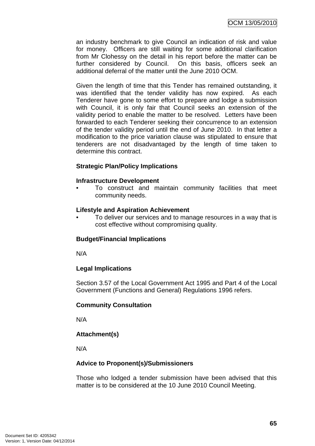an industry benchmark to give Council an indication of risk and value for money. Officers are still waiting for some additional clarification from Mr Clohessy on the detail in his report before the matter can be further considered by Council. On this basis, officers seek an additional deferral of the matter until the June 2010 OCM.

Given the length of time that this Tender has remained outstanding, it was identified that the tender validity has now expired. As each Tenderer have gone to some effort to prepare and lodge a submission with Council, it is only fair that Council seeks an extension of the validity period to enable the matter to be resolved. Letters have been forwarded to each Tenderer seeking their concurrence to an extension of the tender validity period until the end of June 2010. In that letter a modification to the price variation clause was stipulated to ensure that tenderers are not disadvantaged by the length of time taken to determine this contract.

# **Strategic Plan/Policy Implications**

#### **Infrastructure Development**

• To construct and maintain community facilities that meet community needs.

#### **Lifestyle and Aspiration Achievement**

• To deliver our services and to manage resources in a way that is cost effective without compromising quality.

# **Budget/Financial Implications**

N/A

# **Legal Implications**

Section 3.57 of the Local Government Act 1995 and Part 4 of the Local Government (Functions and General) Regulations 1996 refers.

# **Community Consultation**

N/A

# **Attachment(s)**

N/A

# **Advice to Proponent(s)/Submissioners**

Those who lodged a tender submission have been advised that this matter is to be considered at the 10 June 2010 Council Meeting.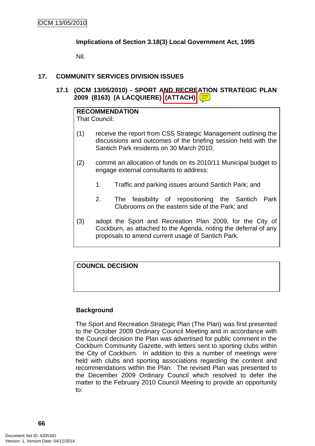# **Implications of Section 3.18(3) Local Government Act, 1995**

Nil.

# **17. COMMUNITY SERVICES DIVISION ISSUES**

**17.1 (OCM 13/05/2010) - SPORT AND RECREATION STRATEGIC PLAN 2009 (8163) (A LACQUIERE) (ATTACH)** 

# **RECOMMENDATION**

That Council:

- (1) receive the report from CSS Strategic Management outlining the discussions and outcomes of the briefing session held with the Santich Park residents on 30 March 2010;
- (2) commit an allocation of funds on its 2010/11 Municipal budget to engage external consultants to address:
	- 1. Traffic and parking issues around Santich Park; and
	- 2. The feasibility of repositioning the Santich Park Clubrooms on the eastern side of the Park; and
- (3) adopt the Sport and Recreation Plan 2009, for the City of Cockburn, as attached to the Agenda, noting the deferral of any proposals to amend current usage of Santich Park.

# **COUNCIL DECISION**

# **Background**

The Sport and Recreation Strategic Plan (The Plan) was first presented to the October 2009 Ordinary Council Meeting and in accordance with the Council decision the Plan was advertised for public comment in the Cockburn Community Gazette, with letters sent to sporting clubs within the City of Cockburn. In addition to this a number of meetings were held with clubs and sporting associations regarding the content and recommendations within the Plan. The revised Plan was presented to the December 2009 Ordinary Council which resolved to defer the matter to the February 2010 Council Meeting to provide an opportunity to: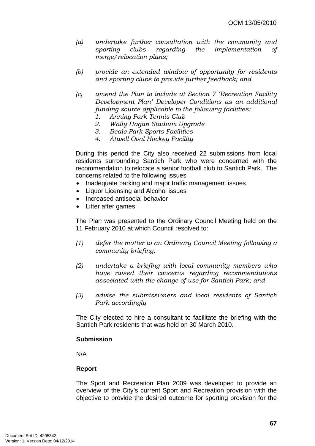- *(a) undertake further consultation with the community and sporting clubs regarding the implementation of merge/relocation plans;*
- *(b) provide an extended window of opportunity for residents and sporting clubs to provide further feedback; and*
- *(c) amend the Plan to include at Section 7 'Recreation Facility Development Plan' Developer Conditions as an additional funding source applicable to the following facilities:* 
	- *1. Anning Park Tennis Club*
	- *2. Wally Hagan Stadium Upgrade*
	- *3. Beale Park Sports Facilities*
	- *4. Atwell Oval Hockey Facility*

During this period the City also received 22 submissions from local residents surrounding Santich Park who were concerned with the recommendation to relocate a senior football club to Santich Park. The concerns related to the following issues

- Inadequate parking and major traffic management issues
- Liquor Licensing and Alcohol issues
- Increased antisocial behavior
- Litter after games

The Plan was presented to the Ordinary Council Meeting held on the 11 February 2010 at which Council resolved to:

- *(1) defer the matter to an Ordinary Council Meeting following a community briefing;*
- *(2) undertake a briefing with local community members who have raised their concerns regarding recommendations associated with the change of use for Santich Park; and*
- *(3) advise the submissioners and local residents of Santich Park accordingly*

The City elected to hire a consultant to facilitate the briefing with the Santich Park residents that was held on 30 March 2010.

#### **Submission**

N/A

# **Report**

The Sport and Recreation Plan 2009 was developed to provide an overview of the City's current Sport and Recreation provision with the objective to provide the desired outcome for sporting provision for the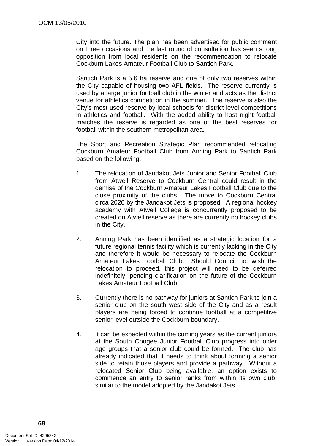City into the future. The plan has been advertised for public comment on three occasions and the last round of consultation has seen strong opposition from local residents on the recommendation to relocate Cockburn Lakes Amateur Football Club to Santich Park.

Santich Park is a 5.6 ha reserve and one of only two reserves within the City capable of housing two AFL fields. The reserve currently is used by a large junior football club in the winter and acts as the district venue for athletics competition in the summer. The reserve is also the City's most used reserve by local schools for district level competitions in athletics and football. With the added ability to host night football matches the reserve is regarded as one of the best reserves for football within the southern metropolitan area.

The Sport and Recreation Strategic Plan recommended relocating Cockburn Amateur Football Club from Anning Park to Santich Park based on the following:

- 1. The relocation of Jandakot Jets Junior and Senior Football Club from Atwell Reserve to Cockburn Central could result in the demise of the Cockburn Amateur Lakes Football Club due to the close proximity of the clubs. The move to Cockburn Central circa 2020 by the Jandakot Jets is proposed. A regional hockey academy with Atwell College is concurrently proposed to be created on Atwell reserve as there are currently no hockey clubs in the City.
- 2. Anning Park has been identified as a strategic location for a future regional tennis facility which is currently lacking in the City and therefore it would be necessary to relocate the Cockburn Amateur Lakes Football Club. Should Council not wish the relocation to proceed, this project will need to be deferred indefinitely, pending clarification on the future of the Cockburn Lakes Amateur Football Club.
- 3. Currently there is no pathway for juniors at Santich Park to join a senior club on the south west side of the City and as a result players are being forced to continue football at a competitive senior level outside the Cockburn boundary.
- 4. It can be expected within the coming years as the current juniors at the South Coogee Junior Football Club progress into older age groups that a senior club could be formed. The club has already indicated that it needs to think about forming a senior side to retain those players and provide a pathway. Without a relocated Senior Club being available, an option exists to commence an entry to senior ranks from within its own club, similar to the model adopted by the Jandakot Jets.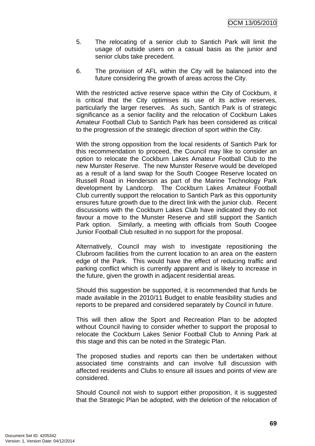- 5. The relocating of a senior club to Santich Park will limit the usage of outside users on a casual basis as the junior and senior clubs take precedent.
- 6. The provision of AFL within the City will be balanced into the future considering the growth of areas across the City.

With the restricted active reserve space within the City of Cockburn, it is critical that the City optimises its use of its active reserves, particularly the larger reserves. As such, Santich Park is of strategic significance as a senior facility and the relocation of Cockburn Lakes Amateur Football Club to Santich Park has been considered as critical to the progression of the strategic direction of sport within the City.

With the strong opposition from the local residents of Santich Park for this recommendation to proceed, the Council may like to consider an option to relocate the Cockburn Lakes Amateur Football Club to the new Munster Reserve. The new Munster Reserve would be developed as a result of a land swap for the South Coogee Reserve located on Russell Road in Henderson as part of the Marine Technology Park development by Landcorp. The Cockburn Lakes Amateur Football Club currently support the relocation to Santich Park as this opportunity ensures future growth due to the direct link with the junior club. Recent discussions with the Cockburn Lakes Club have indicated they do not favour a move to the Munster Reserve and still support the Santich Park option. Similarly, a meeting with officials from South Coogee Junior Football Club resulted in no support for the proposal.

Alternatively, Council may wish to investigate repositioning the Clubroom facilities from the current location to an area on the eastern edge of the Park. This would have the effect of reducing traffic and parking conflict which is currently apparent and is likely to increase in the future, given the growth in adjacent residential areas.

Should this suggestion be supported, it is recommended that funds be made available in the 2010/11 Budget to enable feasibility studies and reports to be prepared and considered separately by Council in future.

This will then allow the Sport and Recreation Plan to be adopted without Council having to consider whether to support the proposal to relocate the Cockburn Lakes Senior Football Club to Anning Park at this stage and this can be noted in the Strategic Plan.

The proposed studies and reports can then be undertaken without associated time constraints and can involve full discussion with affected residents and Clubs to ensure all issues and points of view are considered.

Should Council not wish to support either proposition, it is suggested that the Strategic Plan be adopted, with the deletion of the relocation of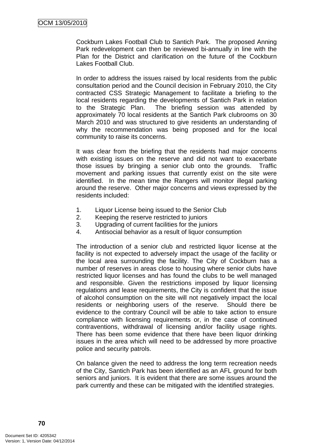Cockburn Lakes Football Club to Santich Park. The proposed Anning Park redevelopment can then be reviewed bi-annually in line with the Plan for the District and clarification on the future of the Cockburn Lakes Football Club.

In order to address the issues raised by local residents from the public consultation period and the Council decision in February 2010, the City contracted CSS Strategic Management to facilitate a briefing to the local residents regarding the developments of Santich Park in relation to the Strategic Plan. The briefing session was attended by approximately 70 local residents at the Santich Park clubrooms on 30 March 2010 and was structured to give residents an understanding of why the recommendation was being proposed and for the local community to raise its concerns.

It was clear from the briefing that the residents had major concerns with existing issues on the reserve and did not want to exacerbate those issues by bringing a senior club onto the grounds. Traffic movement and parking issues that currently exist on the site were identified. In the mean time the Rangers will monitor illegal parking around the reserve. Other major concerns and views expressed by the residents included:

- 1. Liquor License being issued to the Senior Club
- 2. Keeping the reserve restricted to juniors
- 3. Upgrading of current facilities for the juniors
- 4. Antisocial behavior as a result of liquor consumption

The introduction of a senior club and restricted liquor license at the facility is not expected to adversely impact the usage of the facility or the local area surrounding the facility. The City of Cockburn has a number of reserves in areas close to housing where senior clubs have restricted liquor licenses and has found the clubs to be well managed and responsible. Given the restrictions imposed by liquor licensing regulations and lease requirements, the City is confident that the issue of alcohol consumption on the site will not negatively impact the local residents or neighboring users of the reserve. Should there be evidence to the contrary Council will be able to take action to ensure compliance with licensing requirements or, in the case of continued contraventions, withdrawal of licensing and/or facility usage rights. There has been some evidence that there have been liquor drinking issues in the area which will need to be addressed by more proactive police and security patrols.

On balance given the need to address the long term recreation needs of the City, Santich Park has been identified as an AFL ground for both seniors and juniors. It is evident that there are some issues around the park currently and these can be mitigated with the identified strategies.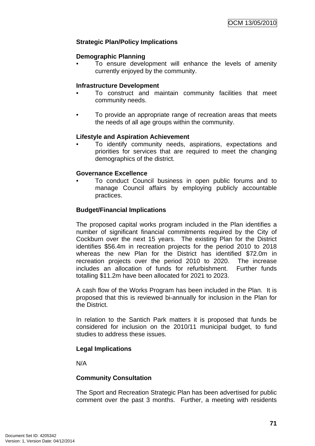## **Strategic Plan/Policy Implications**

#### **Demographic Planning**

• To ensure development will enhance the levels of amenity currently enjoyed by the community.

#### **Infrastructure Development**

- To construct and maintain community facilities that meet community needs.
- To provide an appropriate range of recreation areas that meets the needs of all age groups within the community.

### **Lifestyle and Aspiration Achievement**

• To identify community needs, aspirations, expectations and priorities for services that are required to meet the changing demographics of the district.

### **Governance Excellence**

• To conduct Council business in open public forums and to manage Council affairs by employing publicly accountable practices.

#### **Budget/Financial Implications**

The proposed capital works program included in the Plan identifies a number of significant financial commitments required by the City of Cockburn over the next 15 years. The existing Plan for the District identifies \$56.4m in recreation projects for the period 2010 to 2018 whereas the new Plan for the District has identified \$72.0m in recreation projects over the period 2010 to 2020. The increase includes an allocation of funds for refurbishment. Further funds totalling \$11.2m have been allocated for 2021 to 2023.

A cash flow of the Works Program has been included in the Plan. It is proposed that this is reviewed bi-annually for inclusion in the Plan for the District.

In relation to the Santich Park matters it is proposed that funds be considered for inclusion on the 2010/11 municipal budget, to fund studies to address these issues.

### **Legal Implications**

N/A

### **Community Consultation**

The Sport and Recreation Strategic Plan has been advertised for public comment over the past 3 months. Further, a meeting with residents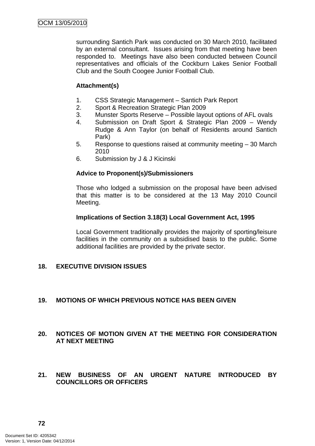surrounding Santich Park was conducted on 30 March 2010, facilitated by an external consultant. Issues arising from that meeting have been responded to. Meetings have also been conducted between Council representatives and officials of the Cockburn Lakes Senior Football Club and the South Coogee Junior Football Club.

# **Attachment(s)**

- 1. CSS Strategic Management Santich Park Report
- 2. Sport & Recreation Strategic Plan 2009
- 3. Munster Sports Reserve Possible layout options of AFL ovals
- 4. Submission on Draft Sport & Strategic Plan 2009 Wendy Rudge & Ann Taylor (on behalf of Residents around Santich Park)
- 5. Response to questions raised at community meeting 30 March 2010
- 6. Submission by J & J Kicinski

### **Advice to Proponent(s)/Submissioners**

Those who lodged a submission on the proposal have been advised that this matter is to be considered at the 13 May 2010 Council Meeting.

#### **Implications of Section 3.18(3) Local Government Act, 1995**

Local Government traditionally provides the majority of sporting/leisure facilities in the community on a subsidised basis to the public. Some additional facilities are provided by the private sector.

### **18. EXECUTIVE DIVISION ISSUES**

# **19. MOTIONS OF WHICH PREVIOUS NOTICE HAS BEEN GIVEN**

## **20. NOTICES OF MOTION GIVEN AT THE MEETING FOR CONSIDERATION AT NEXT MEETING**

**21. NEW BUSINESS OF AN URGENT NATURE INTRODUCED BY COUNCILLORS OR OFFICERS**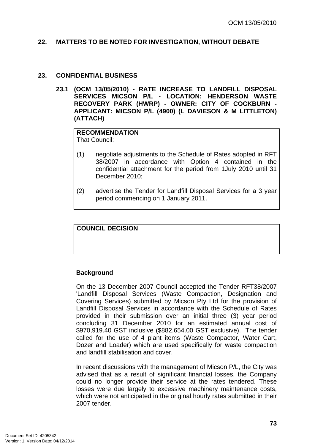#### **22. MATTERS TO BE NOTED FOR INVESTIGATION, WITHOUT DEBATE**

#### **23. CONFIDENTIAL BUSINESS**

**23.1 (OCM 13/05/2010) - RATE INCREASE TO LANDFILL DISPOSAL SERVICES MICSON P/L - LOCATION: HENDERSON WASTE RECOVERY PARK (HWRP) - OWNER: CITY OF COCKBURN - APPLICANT: MICSON P/L (4900) (L DAVIESON & M LITTLETON) (ATTACH)** 

#### **RECOMMENDATION** That Council:

- (1) negotiate adjustments to the Schedule of Rates adopted in RFT 38/2007 in accordance with Option 4 contained in the confidential attachment for the period from 1July 2010 until 31 December 2010;
- (2) advertise the Tender for Landfill Disposal Services for a 3 year period commencing on 1 January 2011.

### **COUNCIL DECISION**

### **Background**

On the 13 December 2007 Council accepted the Tender RFT38/2007 'Landfill Disposal Services (Waste Compaction, Designation and Covering Services) submitted by Micson Pty Ltd for the provision of Landfill Disposal Services in accordance with the Schedule of Rates provided in their submission over an initial three (3) year period concluding 31 December 2010 for an estimated annual cost of \$970,919.40 GST inclusive (\$882,654.00 GST exclusive). The tender called for the use of 4 plant items (Waste Compactor, Water Cart, Dozer and Loader) which are used specifically for waste compaction and landfill stabilisation and cover.

In recent discussions with the management of Micson P/L, the City was advised that as a result of significant financial losses, the Company could no longer provide their service at the rates tendered. These losses were due largely to excessive machinery maintenance costs, which were not anticipated in the original hourly rates submitted in their 2007 tender.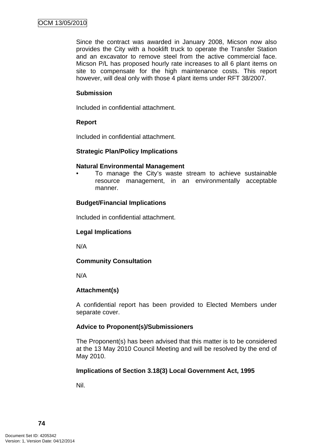Since the contract was awarded in January 2008, Micson now also provides the City with a hooklift truck to operate the Transfer Station and an excavator to remove steel from the active commercial face. Micson P/L has proposed hourly rate increases to all 6 plant items on site to compensate for the high maintenance costs. This report however, will deal only with those 4 plant items under RFT 38/2007.

#### **Submission**

Included in confidential attachment.

#### **Report**

Included in confidential attachment.

### **Strategic Plan/Policy Implications**

#### **Natural Environmental Management**

• To manage the City's waste stream to achieve sustainable resource management, in an environmentally acceptable manner.

### **Budget/Financial Implications**

Included in confidential attachment.

### **Legal Implications**

N/A

### **Community Consultation**

N/A

### **Attachment(s)**

A confidential report has been provided to Elected Members under separate cover.

### **Advice to Proponent(s)/Submissioners**

The Proponent(s) has been advised that this matter is to be considered at the 13 May 2010 Council Meeting and will be resolved by the end of May 2010.

### **Implications of Section 3.18(3) Local Government Act, 1995**

Nil.